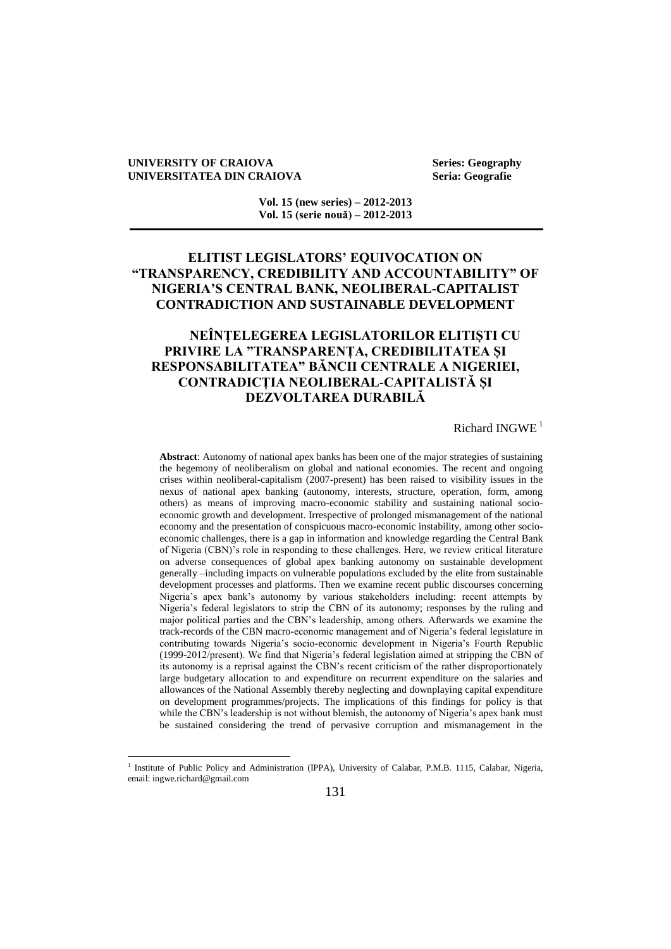#### **UNIVERSITY OF CRAIOVA** Series: Geography<br>
UNIVERSITATEA DIN CRAIOVA Seria: Geografie **UNIVERSITATEA DIN CRAIOVA**

 $\overline{a}$ 

**Vol. 15 (new series) – 2012-2013 Vol. 15 (serie nouă) – 2012-2013**

# **ELITIST LEGISLATORS' EQUIVOCATION ON "TRANSPARENCY, CREDIBILITY AND ACCOUNTABILITY" OF NIGERIA'S CENTRAL BANK, NEOLIBERAL-CAPITALIST CONTRADICTION AND SUSTAINABLE DEVELOPMENT**

# **NEÎNȚELEGEREA LEGISLATORILOR ELITIȘTI CU PRIVIRE LA "TRANSPARENȚA, CREDIBILITATEA ȘI RESPONSABILITATEA" BĂNCII CENTRALE A NIGERIEI, CONTRADICȚIA NEOLIBERAL-CAPITALISTĂ ȘI DEZVOLTAREA DURABILĂ**

### Richard INGWE<sup>1</sup>

**Abstract**: Autonomy of national apex banks has been one of the major strategies of sustaining the hegemony of neoliberalism on global and national economies. The recent and ongoing crises within neoliberal-capitalism (2007-present) has been raised to visibility issues in the nexus of national apex banking (autonomy, interests, structure, operation, form, among others) as means of improving macro-economic stability and sustaining national socioeconomic growth and development. Irrespective of prolonged mismanagement of the national economy and the presentation of conspicuous macro-economic instability, among other socioeconomic challenges, there is a gap in information and knowledge regarding the Central Bank of Nigeria (CBN)"s role in responding to these challenges. Here, we review critical literature on adverse consequences of global apex banking autonomy on sustainable development generally –including impacts on vulnerable populations excluded by the elite from sustainable development processes and platforms. Then we examine recent public discourses concerning Nigeria"s apex bank"s autonomy by various stakeholders including: recent attempts by Nigeria"s federal legislators to strip the CBN of its autonomy; responses by the ruling and major political parties and the CBN"s leadership, among others. Afterwards we examine the track-records of the CBN macro-economic management and of Nigeria"s federal legislature in contributing towards Nigeria's socio-economic development in Nigeria's Fourth Republic (1999-2012/present). We find that Nigeria"s federal legislation aimed at stripping the CBN of its autonomy is a reprisal against the CBN"s recent criticism of the rather disproportionately large budgetary allocation to and expenditure on recurrent expenditure on the salaries and allowances of the National Assembly thereby neglecting and downplaying capital expenditure on development programmes/projects. The implications of this findings for policy is that while the CBN's leadership is not without blemish, the autonomy of Nigeria's apex bank must be sustained considering the trend of pervasive corruption and mismanagement in the

<sup>&</sup>lt;sup>1</sup> Institute of Public Policy and Administration (IPPA), University of Calabar, P.M.B. 1115, Calabar, Nigeria, email: ingwe.richard@gmail.com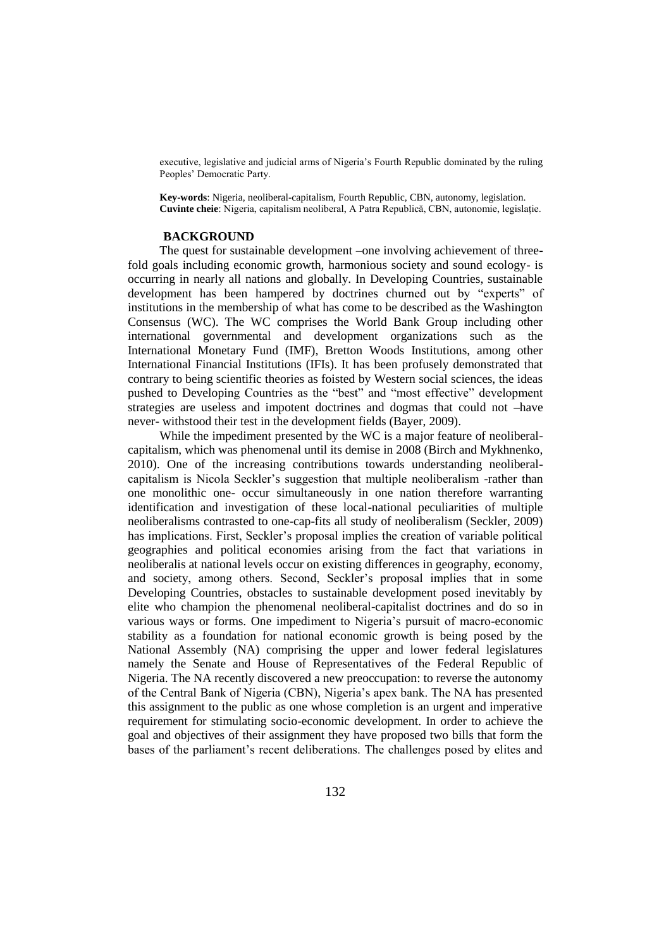executive, legislative and judicial arms of Nigeria's Fourth Republic dominated by the ruling Peoples" Democratic Party.

**Key-words**: Nigeria, neoliberal-capitalism, Fourth Republic, CBN, autonomy, legislation. **Cuvinte cheie**: Nigeria, capitalism neoliberal, A Patra Republică, CBN, autonomie, legislație.

### **BACKGROUND**

The quest for sustainable development –one involving achievement of threefold goals including economic growth, harmonious society and sound ecology- is occurring in nearly all nations and globally. In Developing Countries, sustainable development has been hampered by doctrines churned out by "experts" of institutions in the membership of what has come to be described as the Washington Consensus (WC). The WC comprises the World Bank Group including other international governmental and development organizations such as the International Monetary Fund (IMF), Bretton Woods Institutions, among other International Financial Institutions (IFIs). It has been profusely demonstrated that contrary to being scientific theories as foisted by Western social sciences, the ideas pushed to Developing Countries as the "best" and "most effective" development strategies are useless and impotent doctrines and dogmas that could not –have never- withstood their test in the development fields (Bayer, 2009).

While the impediment presented by the WC is a major feature of neoliberalcapitalism, which was phenomenal until its demise in 2008 (Birch and Mykhnenko, 2010). One of the increasing contributions towards understanding neoliberalcapitalism is Nicola Seckler"s suggestion that multiple neoliberalism -rather than one monolithic one- occur simultaneously in one nation therefore warranting identification and investigation of these local-national peculiarities of multiple neoliberalisms contrasted to one-cap-fits all study of neoliberalism (Seckler, 2009) has implications. First, Seckler"s proposal implies the creation of variable political geographies and political economies arising from the fact that variations in neoliberalis at national levels occur on existing differences in geography, economy, and society, among others. Second, Seckler"s proposal implies that in some Developing Countries, obstacles to sustainable development posed inevitably by elite who champion the phenomenal neoliberal-capitalist doctrines and do so in various ways or forms. One impediment to Nigeria's pursuit of macro-economic stability as a foundation for national economic growth is being posed by the National Assembly (NA) comprising the upper and lower federal legislatures namely the Senate and House of Representatives of the Federal Republic of Nigeria. The NA recently discovered a new preoccupation: to reverse the autonomy of the Central Bank of Nigeria (CBN), Nigeria"s apex bank. The NA has presented this assignment to the public as one whose completion is an urgent and imperative requirement for stimulating socio-economic development. In order to achieve the goal and objectives of their assignment they have proposed two bills that form the bases of the parliament"s recent deliberations. The challenges posed by elites and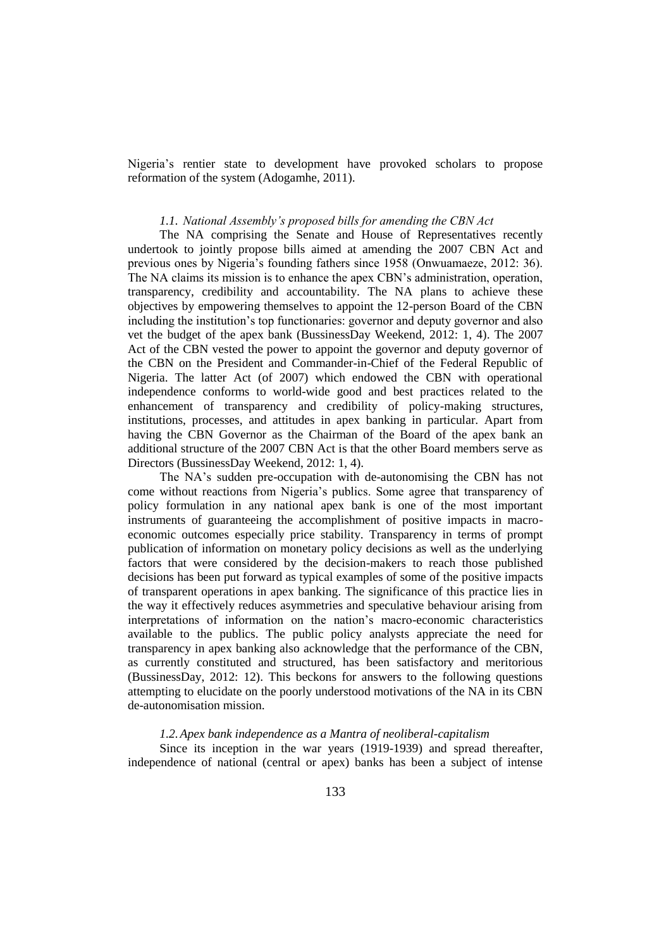Nigeria's rentier state to development have provoked scholars to propose reformation of the system (Adogamhe, 2011).

### *1.1. National Assembly's proposed bills for amending the CBN Act*

The NA comprising the Senate and House of Representatives recently undertook to jointly propose bills aimed at amending the 2007 CBN Act and previous ones by Nigeria"s founding fathers since 1958 (Onwuamaeze, 2012: 36). The NA claims its mission is to enhance the apex CBN"s administration, operation, transparency, credibility and accountability. The NA plans to achieve these objectives by empowering themselves to appoint the 12-person Board of the CBN including the institution's top functionaries: governor and deputy governor and also vet the budget of the apex bank (BussinessDay Weekend, 2012: 1, 4). The 2007 Act of the CBN vested the power to appoint the governor and deputy governor of the CBN on the President and Commander-in-Chief of the Federal Republic of Nigeria. The latter Act (of 2007) which endowed the CBN with operational independence conforms to world-wide good and best practices related to the enhancement of transparency and credibility of policy-making structures, institutions, processes, and attitudes in apex banking in particular. Apart from having the CBN Governor as the Chairman of the Board of the apex bank an additional structure of the 2007 CBN Act is that the other Board members serve as Directors (BussinessDay Weekend, 2012: 1, 4).

The NA"s sudden pre-occupation with de-autonomising the CBN has not come without reactions from Nigeria"s publics. Some agree that transparency of policy formulation in any national apex bank is one of the most important instruments of guaranteeing the accomplishment of positive impacts in macroeconomic outcomes especially price stability. Transparency in terms of prompt publication of information on monetary policy decisions as well as the underlying factors that were considered by the decision-makers to reach those published decisions has been put forward as typical examples of some of the positive impacts of transparent operations in apex banking. The significance of this practice lies in the way it effectively reduces asymmetries and speculative behaviour arising from interpretations of information on the nation"s macro-economic characteristics available to the publics. The public policy analysts appreciate the need for transparency in apex banking also acknowledge that the performance of the CBN, as currently constituted and structured, has been satisfactory and meritorious (BussinessDay, 2012: 12). This beckons for answers to the following questions attempting to elucidate on the poorly understood motivations of the NA in its CBN de-autonomisation mission.

### *1.2.Apex bank independence as a Mantra of neoliberal-capitalism*

Since its inception in the war years (1919-1939) and spread thereafter, independence of national (central or apex) banks has been a subject of intense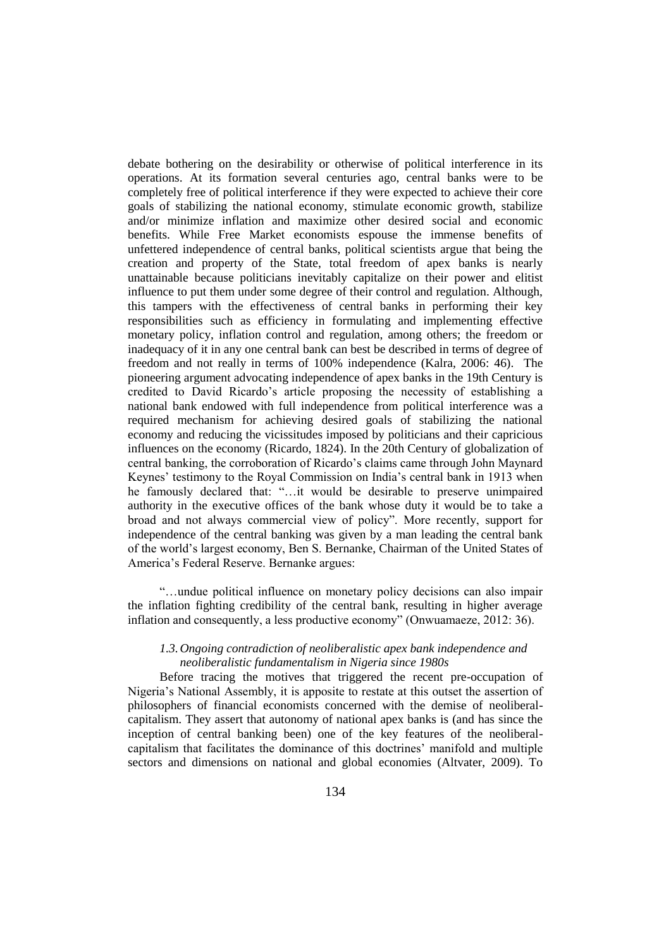debate bothering on the desirability or otherwise of political interference in its operations. At its formation several centuries ago, central banks were to be completely free of political interference if they were expected to achieve their core goals of stabilizing the national economy, stimulate economic growth, stabilize and/or minimize inflation and maximize other desired social and economic benefits. While Free Market economists espouse the immense benefits of unfettered independence of central banks, political scientists argue that being the creation and property of the State, total freedom of apex banks is nearly unattainable because politicians inevitably capitalize on their power and elitist influence to put them under some degree of their control and regulation. Although, this tampers with the effectiveness of central banks in performing their key responsibilities such as efficiency in formulating and implementing effective monetary policy, inflation control and regulation, among others; the freedom or inadequacy of it in any one central bank can best be described in terms of degree of freedom and not really in terms of 100% independence (Kalra, 2006: 46). The pioneering argument advocating independence of apex banks in the 19th Century is credited to David Ricardo"s article proposing the necessity of establishing a national bank endowed with full independence from political interference was a required mechanism for achieving desired goals of stabilizing the national economy and reducing the vicissitudes imposed by politicians and their capricious influences on the economy (Ricardo, 1824). In the 20th Century of globalization of central banking, the corroboration of Ricardo"s claims came through John Maynard Keynes" testimony to the Royal Commission on India"s central bank in 1913 when he famously declared that: "…it would be desirable to preserve unimpaired authority in the executive offices of the bank whose duty it would be to take a broad and not always commercial view of policy". More recently, support for independence of the central banking was given by a man leading the central bank of the world"s largest economy, Ben S. Bernanke, Chairman of the United States of America"s Federal Reserve. Bernanke argues:

"…undue political influence on monetary policy decisions can also impair the inflation fighting credibility of the central bank, resulting in higher average inflation and consequently, a less productive economy" (Onwuamaeze, 2012: 36).

## *1.3.Ongoing contradiction of neoliberalistic apex bank independence and neoliberalistic fundamentalism in Nigeria since 1980s*

Before tracing the motives that triggered the recent pre-occupation of Nigeria's National Assembly, it is apposite to restate at this outset the assertion of philosophers of financial economists concerned with the demise of neoliberalcapitalism. They assert that autonomy of national apex banks is (and has since the inception of central banking been) one of the key features of the neoliberalcapitalism that facilitates the dominance of this doctrines" manifold and multiple sectors and dimensions on national and global economies (Altvater, 2009). To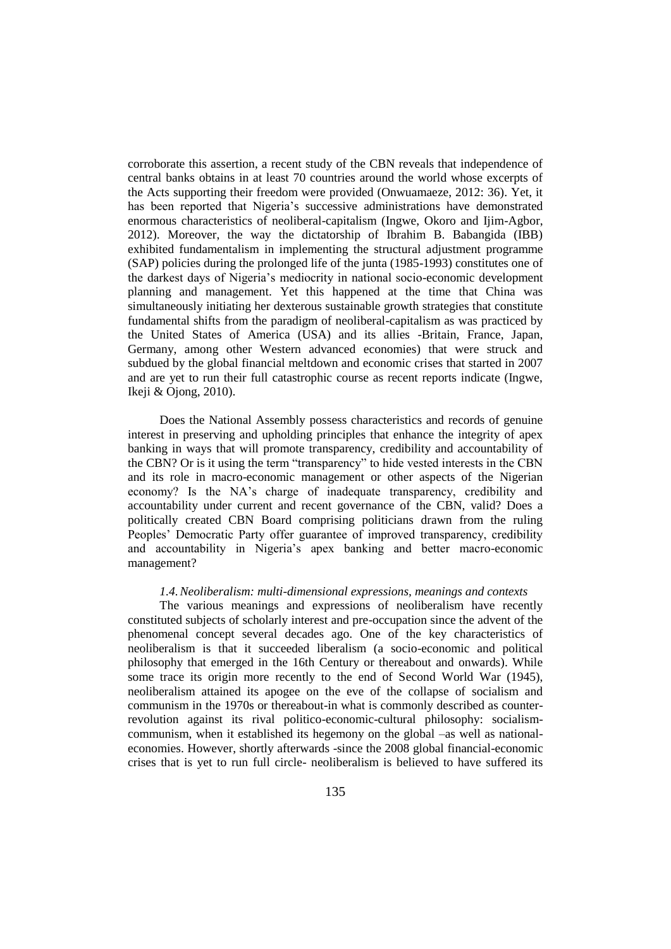corroborate this assertion, a recent study of the CBN reveals that independence of central banks obtains in at least 70 countries around the world whose excerpts of the Acts supporting their freedom were provided (Onwuamaeze, 2012: 36). Yet, it has been reported that Nigeria's successive administrations have demonstrated enormous characteristics of neoliberal-capitalism (Ingwe, Okoro and Ijim-Agbor, 2012). Moreover, the way the dictatorship of Ibrahim B. Babangida (IBB) exhibited fundamentalism in implementing the structural adjustment programme (SAP) policies during the prolonged life of the junta (1985-1993) constitutes one of the darkest days of Nigeria"s mediocrity in national socio-economic development planning and management. Yet this happened at the time that China was simultaneously initiating her dexterous sustainable growth strategies that constitute fundamental shifts from the paradigm of neoliberal-capitalism as was practiced by the United States of America (USA) and its allies -Britain, France, Japan, Germany, among other Western advanced economies) that were struck and subdued by the global financial meltdown and economic crises that started in 2007 and are yet to run their full catastrophic course as recent reports indicate (Ingwe, Ikeji & Ojong, 2010).

Does the National Assembly possess characteristics and records of genuine interest in preserving and upholding principles that enhance the integrity of apex banking in ways that will promote transparency, credibility and accountability of the CBN? Or is it using the term "transparency" to hide vested interests in the CBN and its role in macro-economic management or other aspects of the Nigerian economy? Is the NA"s charge of inadequate transparency, credibility and accountability under current and recent governance of the CBN, valid? Does a politically created CBN Board comprising politicians drawn from the ruling Peoples' Democratic Party offer guarantee of improved transparency, credibility and accountability in Nigeria's apex banking and better macro-economic management?

### *1.4.Neoliberalism: multi-dimensional expressions, meanings and contexts*

The various meanings and expressions of neoliberalism have recently constituted subjects of scholarly interest and pre-occupation since the advent of the phenomenal concept several decades ago. One of the key characteristics of neoliberalism is that it succeeded liberalism (a socio-economic and political philosophy that emerged in the 16th Century or thereabout and onwards). While some trace its origin more recently to the end of Second World War (1945), neoliberalism attained its apogee on the eve of the collapse of socialism and communism in the 1970s or thereabout-in what is commonly described as counterrevolution against its rival politico-economic-cultural philosophy: socialismcommunism, when it established its hegemony on the global –as well as nationaleconomies. However, shortly afterwards -since the 2008 global financial-economic crises that is yet to run full circle- neoliberalism is believed to have suffered its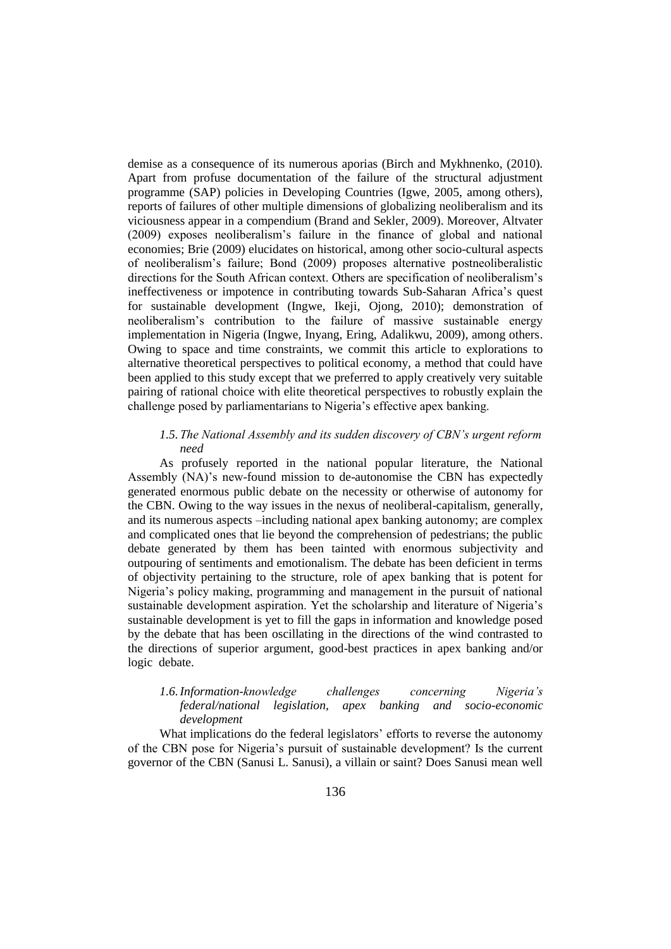demise as a consequence of its numerous aporias (Birch and Mykhnenko, (2010). Apart from profuse documentation of the failure of the structural adjustment programme (SAP) policies in Developing Countries (Igwe, 2005, among others), reports of failures of other multiple dimensions of globalizing neoliberalism and its viciousness appear in a compendium (Brand and Sekler, 2009). Moreover, Altvater (2009) exposes neoliberalism"s failure in the finance of global and national economies; Brie (2009) elucidates on historical, among other socio-cultural aspects of neoliberalism"s failure; Bond (2009) proposes alternative postneoliberalistic directions for the South African context. Others are specification of neoliberalism"s ineffectiveness or impotence in contributing towards Sub-Saharan Africa's quest for sustainable development (Ingwe, Ikeji, Ojong, 2010); demonstration of neoliberalism"s contribution to the failure of massive sustainable energy implementation in Nigeria (Ingwe, Inyang, Ering, Adalikwu, 2009), among others. Owing to space and time constraints, we commit this article to explorations to alternative theoretical perspectives to political economy, a method that could have been applied to this study except that we preferred to apply creatively very suitable pairing of rational choice with elite theoretical perspectives to robustly explain the challenge posed by parliamentarians to Nigeria's effective apex banking.

### *1.5.The National Assembly and its sudden discovery of CBN's urgent reform need*

As profusely reported in the national popular literature, the National Assembly (NA)"s new-found mission to de-autonomise the CBN has expectedly generated enormous public debate on the necessity or otherwise of autonomy for the CBN. Owing to the way issues in the nexus of neoliberal-capitalism, generally, and its numerous aspects –including national apex banking autonomy; are complex and complicated ones that lie beyond the comprehension of pedestrians; the public debate generated by them has been tainted with enormous subjectivity and outpouring of sentiments and emotionalism. The debate has been deficient in terms of objectivity pertaining to the structure, role of apex banking that is potent for Nigeria's policy making, programming and management in the pursuit of national sustainable development aspiration. Yet the scholarship and literature of Nigeria"s sustainable development is yet to fill the gaps in information and knowledge posed by the debate that has been oscillating in the directions of the wind contrasted to the directions of superior argument, good-best practices in apex banking and/or logic debate.

### *1.6.Information-knowledge challenges concerning Nigeria's federal/national legislation, apex banking and socio-economic development*

What implications do the federal legislators' efforts to reverse the autonomy of the CBN pose for Nigeria"s pursuit of sustainable development? Is the current governor of the CBN (Sanusi L. Sanusi), a villain or saint? Does Sanusi mean well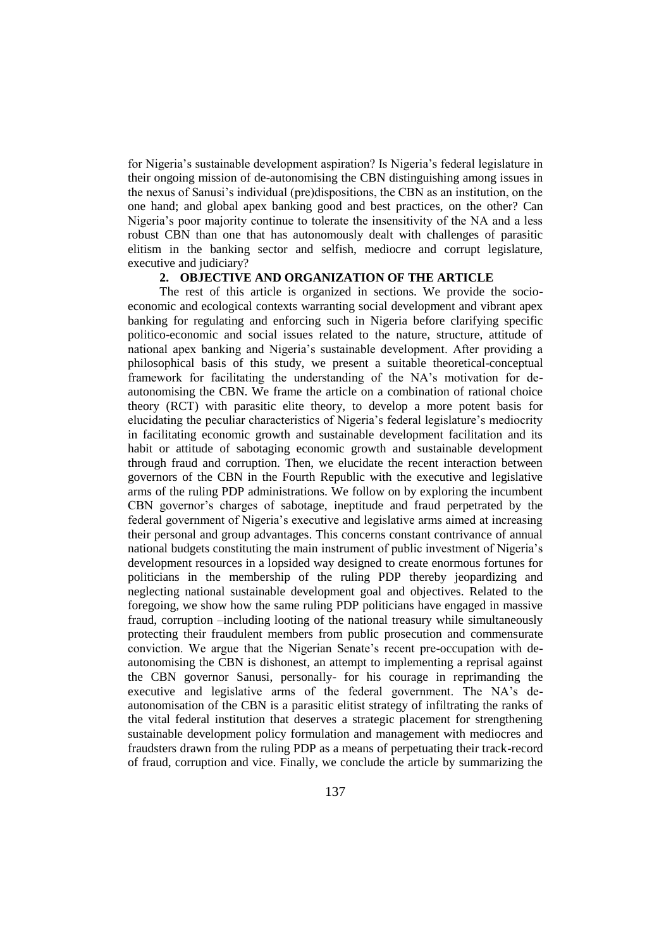for Nigeria"s sustainable development aspiration? Is Nigeria"s federal legislature in their ongoing mission of de-autonomising the CBN distinguishing among issues in the nexus of Sanusi"s individual (pre)dispositions, the CBN as an institution, on the one hand; and global apex banking good and best practices, on the other? Can Nigeria's poor majority continue to tolerate the insensitivity of the NA and a less robust CBN than one that has autonomously dealt with challenges of parasitic elitism in the banking sector and selfish, mediocre and corrupt legislature, executive and judiciary?

# **2. OBJECTIVE AND ORGANIZATION OF THE ARTICLE**

The rest of this article is organized in sections. We provide the socioeconomic and ecological contexts warranting social development and vibrant apex banking for regulating and enforcing such in Nigeria before clarifying specific politico-economic and social issues related to the nature, structure, attitude of national apex banking and Nigeria"s sustainable development. After providing a philosophical basis of this study, we present a suitable theoretical-conceptual framework for facilitating the understanding of the NA"s motivation for deautonomising the CBN. We frame the article on a combination of rational choice theory (RCT) with parasitic elite theory, to develop a more potent basis for elucidating the peculiar characteristics of Nigeria"s federal legislature"s mediocrity in facilitating economic growth and sustainable development facilitation and its habit or attitude of sabotaging economic growth and sustainable development through fraud and corruption. Then, we elucidate the recent interaction between governors of the CBN in the Fourth Republic with the executive and legislative arms of the ruling PDP administrations. We follow on by exploring the incumbent CBN governor's charges of sabotage, ineptitude and fraud perpetrated by the federal government of Nigeria"s executive and legislative arms aimed at increasing their personal and group advantages. This concerns constant contrivance of annual national budgets constituting the main instrument of public investment of Nigeria"s development resources in a lopsided way designed to create enormous fortunes for politicians in the membership of the ruling PDP thereby jeopardizing and neglecting national sustainable development goal and objectives. Related to the foregoing, we show how the same ruling PDP politicians have engaged in massive fraud, corruption –including looting of the national treasury while simultaneously protecting their fraudulent members from public prosecution and commensurate conviction. We argue that the Nigerian Senate"s recent pre-occupation with deautonomising the CBN is dishonest, an attempt to implementing a reprisal against the CBN governor Sanusi, personally- for his courage in reprimanding the executive and legislative arms of the federal government. The NA"s deautonomisation of the CBN is a parasitic elitist strategy of infiltrating the ranks of the vital federal institution that deserves a strategic placement for strengthening sustainable development policy formulation and management with mediocres and fraudsters drawn from the ruling PDP as a means of perpetuating their track-record of fraud, corruption and vice. Finally, we conclude the article by summarizing the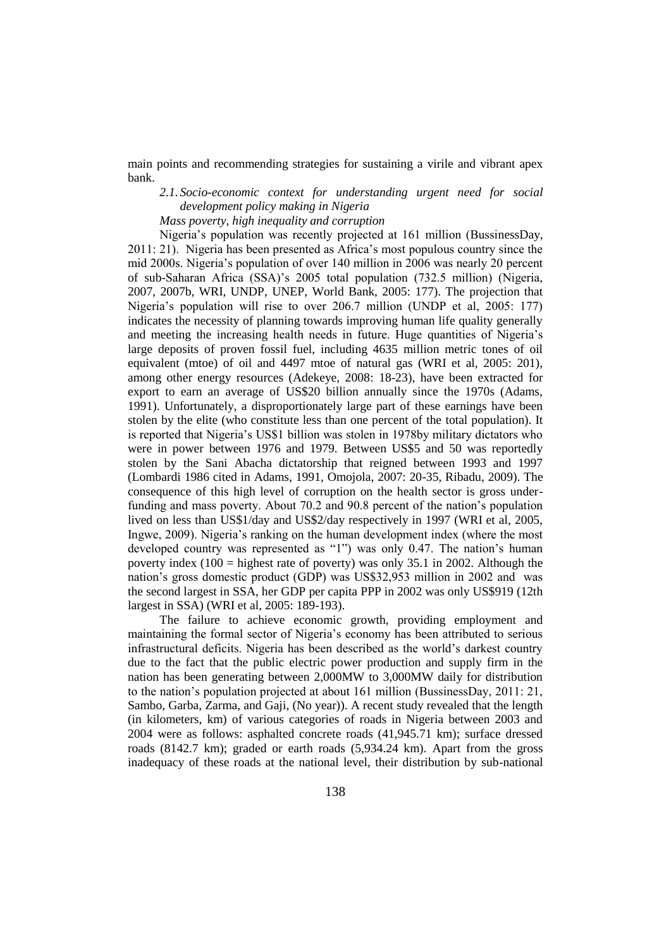main points and recommending strategies for sustaining a virile and vibrant apex bank.

*2.1. Socio-economic context for understanding urgent need for social development policy making in Nigeria* 

*Mass poverty, high inequality and corruption*

Nigeria"s population was recently projected at 161 million (BussinessDay, 2011: 21). Nigeria has been presented as Africa"s most populous country since the mid 2000s. Nigeria"s population of over 140 million in 2006 was nearly 20 percent of sub-Saharan Africa (SSA)"s 2005 total population (732.5 million) (Nigeria, 2007, 2007b, WRI, UNDP, UNEP, World Bank, 2005: 177). The projection that Nigeria"s population will rise to over 206.7 million (UNDP et al, 2005: 177) indicates the necessity of planning towards improving human life quality generally and meeting the increasing health needs in future. Huge quantities of Nigeria"s large deposits of proven fossil fuel, including 4635 million metric tones of oil equivalent (mtoe) of oil and 4497 mtoe of natural gas (WRI et al, 2005: 201), among other energy resources (Adekeye, 2008: 18-23), have been extracted for export to earn an average of US\$20 billion annually since the 1970s (Adams, 1991). Unfortunately, a disproportionately large part of these earnings have been stolen by the elite (who constitute less than one percent of the total population). It is reported that Nigeria"s US\$1 billion was stolen in 1978by military dictators who were in power between 1976 and 1979. Between US\$5 and 50 was reportedly stolen by the Sani Abacha dictatorship that reigned between 1993 and 1997 (Lombardi 1986 cited in Adams, 1991, Omojola, 2007: 20-35, Ribadu, 2009). The consequence of this high level of corruption on the health sector is gross underfunding and mass poverty. About 70.2 and 90.8 percent of the nation"s population lived on less than US\$1/day and US\$2/day respectively in 1997 (WRI et al, 2005, Ingwe, 2009). Nigeria"s ranking on the human development index (where the most developed country was represented as "1") was only 0.47. The nation's human poverty index  $(100 =$  highest rate of poverty) was only 35.1 in 2002. Although the nation"s gross domestic product (GDP) was US\$32,953 million in 2002 and was the second largest in SSA, her GDP per capita PPP in 2002 was only US\$919 (12th largest in SSA) (WRI et al, 2005: 189-193).

The failure to achieve economic growth, providing employment and maintaining the formal sector of Nigeria"s economy has been attributed to serious infrastructural deficits. Nigeria has been described as the world"s darkest country due to the fact that the public electric power production and supply firm in the nation has been generating between 2,000MW to 3,000MW daily for distribution to the nation"s population projected at about 161 million (BussinessDay, 2011: 21, Sambo, Garba, Zarma, and Gaji, (No year)). A recent study revealed that the length (in kilometers, km) of various categories of roads in Nigeria between 2003 and 2004 were as follows: asphalted concrete roads (41,945.71 km); surface dressed roads (8142.7 km); graded or earth roads (5,934.24 km). Apart from the gross inadequacy of these roads at the national level, their distribution by sub-national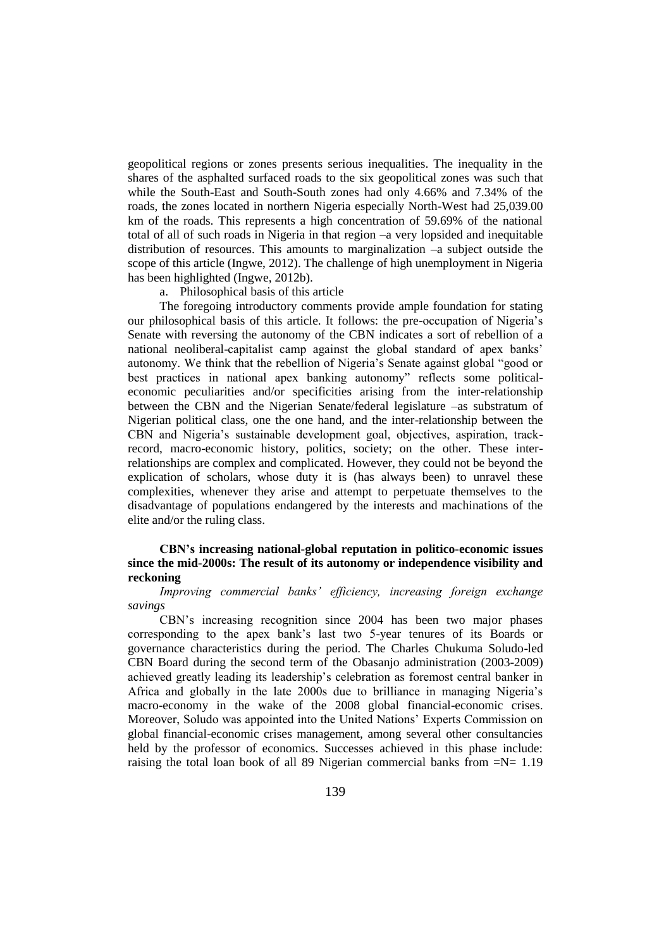geopolitical regions or zones presents serious inequalities. The inequality in the shares of the asphalted surfaced roads to the six geopolitical zones was such that while the South-East and South-South zones had only 4.66% and 7.34% of the roads, the zones located in northern Nigeria especially North-West had 25,039.00 km of the roads. This represents a high concentration of 59.69% of the national total of all of such roads in Nigeria in that region –a very lopsided and inequitable distribution of resources. This amounts to marginalization –a subject outside the scope of this article (Ingwe, 2012). The challenge of high unemployment in Nigeria has been highlighted (Ingwe, 2012b).

a. Philosophical basis of this article

The foregoing introductory comments provide ample foundation for stating our philosophical basis of this article. It follows: the pre-occupation of Nigeria"s Senate with reversing the autonomy of the CBN indicates a sort of rebellion of a national neoliberal-capitalist camp against the global standard of apex banks" autonomy. We think that the rebellion of Nigeria"s Senate against global "good or best practices in national apex banking autonomy" reflects some politicaleconomic peculiarities and/or specificities arising from the inter-relationship between the CBN and the Nigerian Senate/federal legislature –as substratum of Nigerian political class, one the one hand, and the inter-relationship between the CBN and Nigeria"s sustainable development goal, objectives, aspiration, trackrecord, macro-economic history, politics, society; on the other. These interrelationships are complex and complicated. However, they could not be beyond the explication of scholars, whose duty it is (has always been) to unravel these complexities, whenever they arise and attempt to perpetuate themselves to the disadvantage of populations endangered by the interests and machinations of the elite and/or the ruling class.

## **CBN's increasing national-global reputation in politico-economic issues since the mid-2000s: The result of its autonomy or independence visibility and reckoning**

*Improving commercial banks' efficiency, increasing foreign exchange savings*

CBN"s increasing recognition since 2004 has been two major phases corresponding to the apex bank"s last two 5-year tenures of its Boards or governance characteristics during the period. The Charles Chukuma Soludo-led CBN Board during the second term of the Obasanjo administration (2003-2009) achieved greatly leading its leadership"s celebration as foremost central banker in Africa and globally in the late 2000s due to brilliance in managing Nigeria"s macro-economy in the wake of the 2008 global financial-economic crises. Moreover, Soludo was appointed into the United Nations" Experts Commission on global financial-economic crises management, among several other consultancies held by the professor of economics. Successes achieved in this phase include: raising the total loan book of all 89 Nigerian commercial banks from  $=N= 1.19$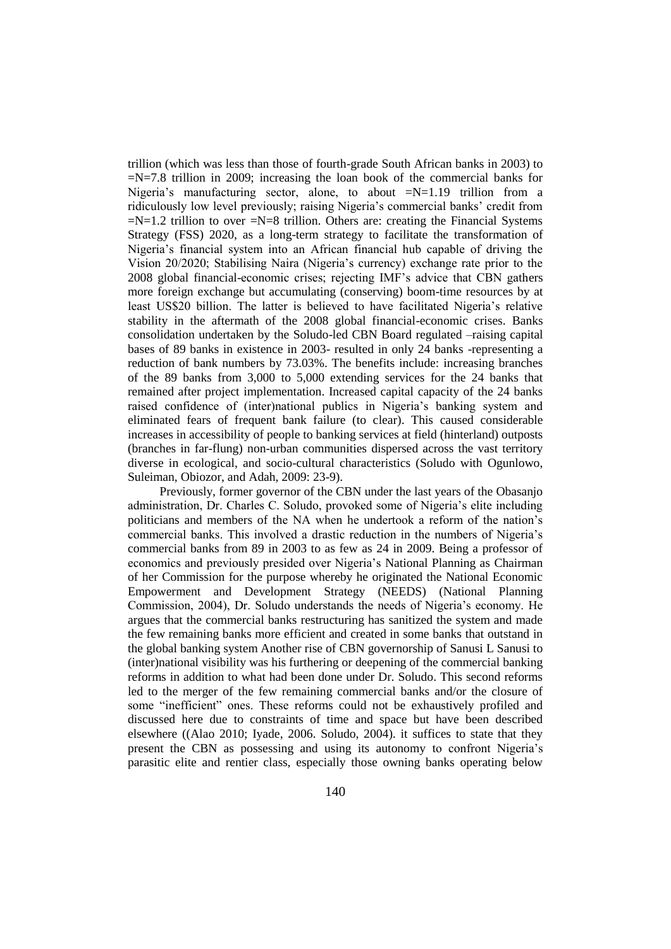trillion (which was less than those of fourth-grade South African banks in 2003) to  $=N=7.8$  trillion in 2009; increasing the loan book of the commercial banks for Nigeria's manufacturing sector, alone, to about  $=N=1.19$  trillion from a ridiculously low level previously; raising Nigeria's commercial banks' credit from  $=N=1.2$  trillion to over  $=N=8$  trillion. Others are: creating the Financial Systems Strategy (FSS) 2020, as a long-term strategy to facilitate the transformation of Nigeria's financial system into an African financial hub capable of driving the Vision 20/2020; Stabilising Naira (Nigeria's currency) exchange rate prior to the 2008 global financial-economic crises; rejecting IMF"s advice that CBN gathers more foreign exchange but accumulating (conserving) boom-time resources by at least US\$20 billion. The latter is believed to have facilitated Nigeria's relative stability in the aftermath of the 2008 global financial-economic crises. Banks consolidation undertaken by the Soludo-led CBN Board regulated –raising capital bases of 89 banks in existence in 2003- resulted in only 24 banks -representing a reduction of bank numbers by 73.03%. The benefits include: increasing branches of the 89 banks from 3,000 to 5,000 extending services for the 24 banks that remained after project implementation. Increased capital capacity of the 24 banks raised confidence of (inter)national publics in Nigeria's banking system and eliminated fears of frequent bank failure (to clear). This caused considerable increases in accessibility of people to banking services at field (hinterland) outposts (branches in far-flung) non-urban communities dispersed across the vast territory diverse in ecological, and socio-cultural characteristics (Soludo with Ogunlowo, Suleiman, Obiozor, and Adah, 2009: 23-9).

Previously, former governor of the CBN under the last years of the Obasanjo administration, Dr. Charles C. Soludo, provoked some of Nigeria"s elite including politicians and members of the NA when he undertook a reform of the nation"s commercial banks. This involved a drastic reduction in the numbers of Nigeria"s commercial banks from 89 in 2003 to as few as 24 in 2009. Being a professor of economics and previously presided over Nigeria"s National Planning as Chairman of her Commission for the purpose whereby he originated the National Economic Empowerment and Development Strategy (NEEDS) (National Planning Commission, 2004), Dr. Soludo understands the needs of Nigeria"s economy. He argues that the commercial banks restructuring has sanitized the system and made the few remaining banks more efficient and created in some banks that outstand in the global banking system Another rise of CBN governorship of Sanusi L Sanusi to (inter)national visibility was his furthering or deepening of the commercial banking reforms in addition to what had been done under Dr. Soludo. This second reforms led to the merger of the few remaining commercial banks and/or the closure of some "inefficient" ones. These reforms could not be exhaustively profiled and discussed here due to constraints of time and space but have been described elsewhere ((Alao 2010; Iyade, 2006. Soludo, 2004). it suffices to state that they present the CBN as possessing and using its autonomy to confront Nigeria"s parasitic elite and rentier class, especially those owning banks operating below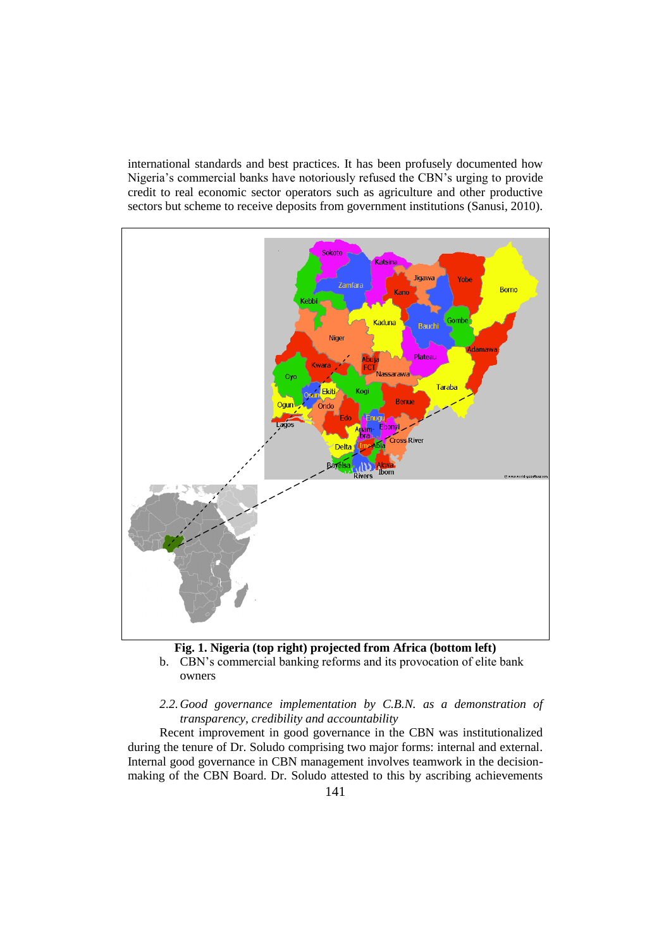international standards and best practices. It has been profusely documented how Nigeria"s commercial banks have notoriously refused the CBN"s urging to provide credit to real economic sector operators such as agriculture and other productive sectors but scheme to receive deposits from government institutions (Sanusi, 2010).



# **Fig. 1. Nigeria (top right) projected from Africa (bottom left)**

b. CBN"s commercial banking reforms and its provocation of elite bank owners

## *2.2.Good governance implementation by C.B.N. as a demonstration of transparency, credibility and accountability*

Recent improvement in good governance in the CBN was institutionalized during the tenure of Dr. Soludo comprising two major forms: internal and external. Internal good governance in CBN management involves teamwork in the decisionmaking of the CBN Board. Dr. Soludo attested to this by ascribing achievements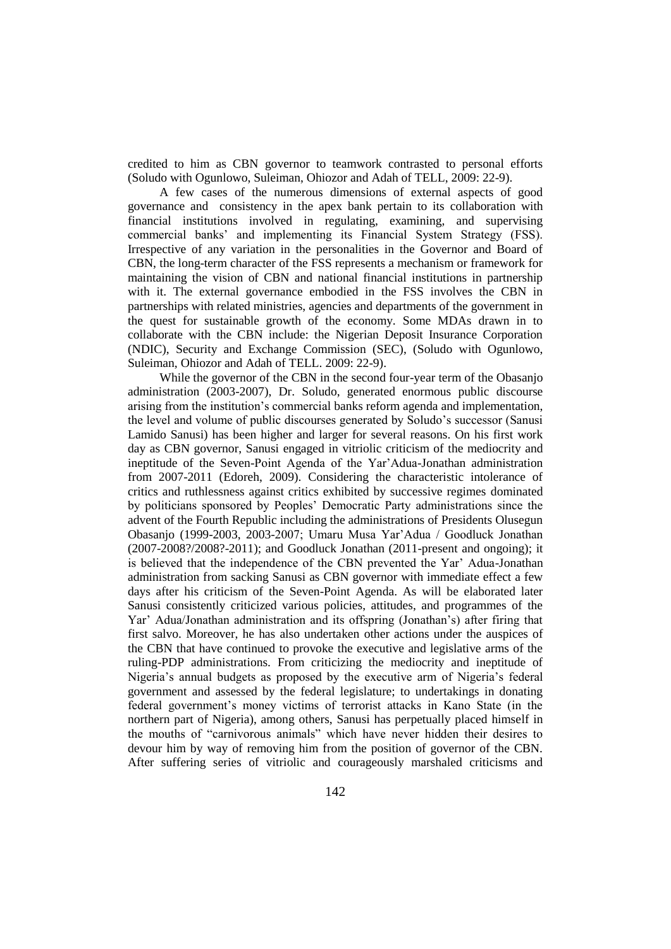credited to him as CBN governor to teamwork contrasted to personal efforts (Soludo with Ogunlowo, Suleiman, Ohiozor and Adah of TELL, 2009: 22-9).

A few cases of the numerous dimensions of external aspects of good governance and consistency in the apex bank pertain to its collaboration with financial institutions involved in regulating, examining, and supervising commercial banks" and implementing its Financial System Strategy (FSS). Irrespective of any variation in the personalities in the Governor and Board of CBN, the long-term character of the FSS represents a mechanism or framework for maintaining the vision of CBN and national financial institutions in partnership with it. The external governance embodied in the FSS involves the CBN in partnerships with related ministries, agencies and departments of the government in the quest for sustainable growth of the economy. Some MDAs drawn in to collaborate with the CBN include: the Nigerian Deposit Insurance Corporation (NDIC), Security and Exchange Commission (SEC), (Soludo with Ogunlowo, Suleiman, Ohiozor and Adah of TELL. 2009: 22-9).

While the governor of the CBN in the second four-year term of the Obasanjo administration (2003-2007), Dr. Soludo, generated enormous public discourse arising from the institution"s commercial banks reform agenda and implementation, the level and volume of public discourses generated by Soludo"s successor (Sanusi Lamido Sanusi) has been higher and larger for several reasons. On his first work day as CBN governor, Sanusi engaged in vitriolic criticism of the mediocrity and ineptitude of the Seven-Point Agenda of the Yar"Adua-Jonathan administration from 2007-2011 (Edoreh, 2009). Considering the characteristic intolerance of critics and ruthlessness against critics exhibited by successive regimes dominated by politicians sponsored by Peoples" Democratic Party administrations since the advent of the Fourth Republic including the administrations of Presidents Olusegun Obasanjo (1999-2003, 2003-2007; Umaru Musa Yar"Adua / Goodluck Jonathan (2007-2008?/2008?-2011); and Goodluck Jonathan (2011-present and ongoing); it is believed that the independence of the CBN prevented the Yar" Adua-Jonathan administration from sacking Sanusi as CBN governor with immediate effect a few days after his criticism of the Seven-Point Agenda. As will be elaborated later Sanusi consistently criticized various policies, attitudes, and programmes of the Yar" Adua/Jonathan administration and its offspring (Jonathan"s) after firing that first salvo. Moreover, he has also undertaken other actions under the auspices of the CBN that have continued to provoke the executive and legislative arms of the ruling-PDP administrations. From criticizing the mediocrity and ineptitude of Nigeria's annual budgets as proposed by the executive arm of Nigeria's federal government and assessed by the federal legislature; to undertakings in donating federal government"s money victims of terrorist attacks in Kano State (in the northern part of Nigeria), among others, Sanusi has perpetually placed himself in the mouths of "carnivorous animals" which have never hidden their desires to devour him by way of removing him from the position of governor of the CBN. After suffering series of vitriolic and courageously marshaled criticisms and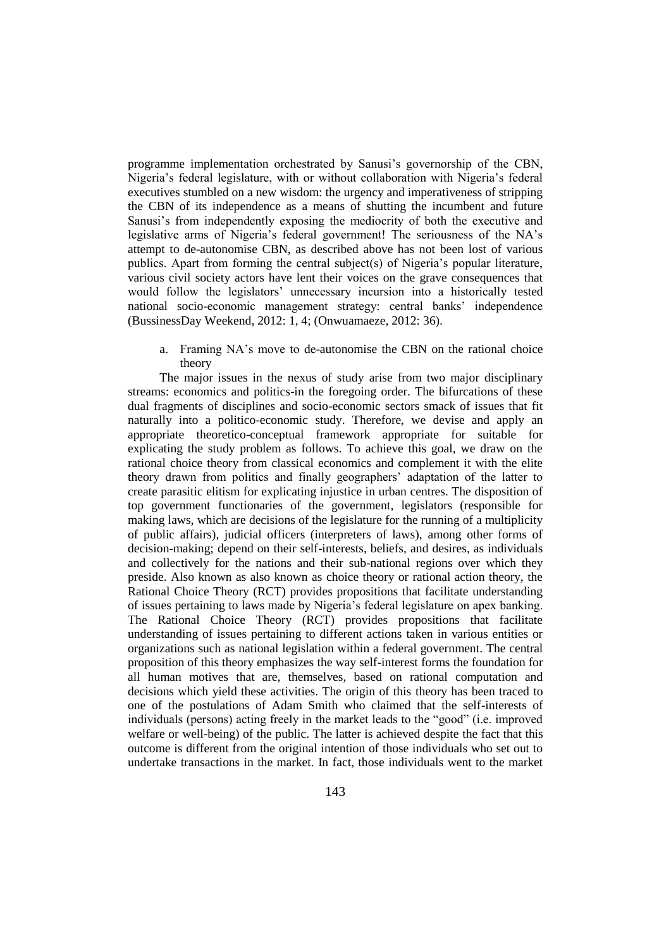programme implementation orchestrated by Sanusi"s governorship of the CBN, Nigeria's federal legislature, with or without collaboration with Nigeria's federal executives stumbled on a new wisdom: the urgency and imperativeness of stripping the CBN of its independence as a means of shutting the incumbent and future Sanusi's from independently exposing the mediocrity of both the executive and legislative arms of Nigeria's federal government! The seriousness of the NA's attempt to de-autonomise CBN, as described above has not been lost of various publics. Apart from forming the central subject(s) of Nigeria's popular literature, various civil society actors have lent their voices on the grave consequences that would follow the legislators" unnecessary incursion into a historically tested national socio-economic management strategy: central banks" independence (BussinessDay Weekend, 2012: 1, 4; (Onwuamaeze, 2012: 36).

a. Framing NA"s move to de-autonomise the CBN on the rational choice theory

The major issues in the nexus of study arise from two major disciplinary streams: economics and politics-in the foregoing order. The bifurcations of these dual fragments of disciplines and socio-economic sectors smack of issues that fit naturally into a politico-economic study. Therefore, we devise and apply an appropriate theoretico-conceptual framework appropriate for suitable for explicating the study problem as follows. To achieve this goal, we draw on the rational choice theory from classical economics and complement it with the elite theory drawn from politics and finally geographers" adaptation of the latter to create parasitic elitism for explicating injustice in urban centres. The disposition of top government functionaries of the government, legislators (responsible for making laws, which are decisions of the legislature for the running of a multiplicity of public affairs), judicial officers (interpreters of laws), among other forms of decision-making; depend on their self-interests, beliefs, and desires, as individuals and collectively for the nations and their sub-national regions over which they preside. Also known as also known as choice theory or rational action theory, the Rational Choice Theory (RCT) provides propositions that facilitate understanding of issues pertaining to laws made by Nigeria"s federal legislature on apex banking. The Rational Choice Theory (RCT) provides propositions that facilitate understanding of issues pertaining to different actions taken in various entities or organizations such as national legislation within a federal government. The central proposition of this theory emphasizes the way self-interest forms the foundation for all human motives that are, themselves, based on rational computation and decisions which yield these activities. The origin of this theory has been traced to one of the postulations of Adam Smith who claimed that the self-interests of individuals (persons) acting freely in the market leads to the "good" (i.e. improved welfare or well-being) of the public. The latter is achieved despite the fact that this outcome is different from the original intention of those individuals who set out to undertake transactions in the market. In fact, those individuals went to the market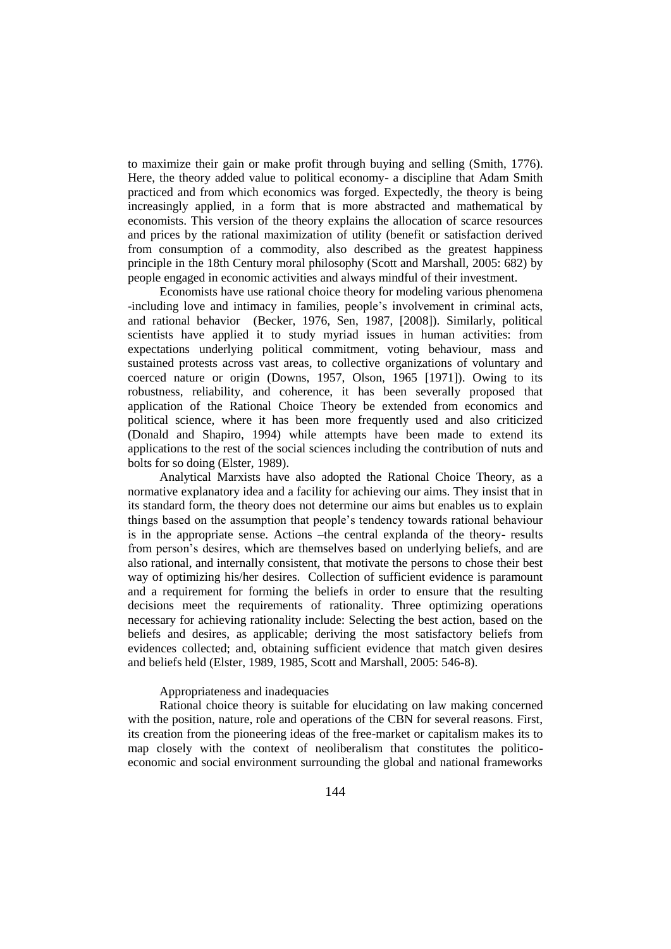to maximize their gain or make profit through buying and selling (Smith, 1776). Here, the theory added value to political economy- a discipline that Adam Smith practiced and from which economics was forged. Expectedly, the theory is being increasingly applied, in a form that is more abstracted and mathematical by economists. This version of the theory explains the allocation of scarce resources and prices by the rational maximization of utility (benefit or satisfaction derived from consumption of a commodity, also described as the greatest happiness principle in the 18th Century moral philosophy (Scott and Marshall, 2005: 682) by people engaged in economic activities and always mindful of their investment.

Economists have use rational choice theory for modeling various phenomena -including love and intimacy in families, people's involvement in criminal acts, and rational behavior (Becker, 1976, Sen, 1987, [2008]). Similarly, political scientists have applied it to study myriad issues in human activities: from expectations underlying political commitment, voting behaviour, mass and sustained protests across vast areas, to collective organizations of voluntary and coerced nature or origin (Downs, 1957, Olson, 1965 [1971]). Owing to its robustness, reliability, and coherence, it has been severally proposed that application of the Rational Choice Theory be extended from economics and political science, where it has been more frequently used and also criticized (Donald and Shapiro, 1994) while attempts have been made to extend its applications to the rest of the social sciences including the contribution of nuts and bolts for so doing (Elster, 1989).

Analytical Marxists have also adopted the Rational Choice Theory, as a normative explanatory idea and a facility for achieving our aims. They insist that in its standard form, the theory does not determine our aims but enables us to explain things based on the assumption that people"s tendency towards rational behaviour is in the appropriate sense. Actions –the central explanda of the theory- results from person"s desires, which are themselves based on underlying beliefs, and are also rational, and internally consistent, that motivate the persons to chose their best way of optimizing his/her desires. Collection of sufficient evidence is paramount and a requirement for forming the beliefs in order to ensure that the resulting decisions meet the requirements of rationality. Three optimizing operations necessary for achieving rationality include: Selecting the best action, based on the beliefs and desires, as applicable; deriving the most satisfactory beliefs from evidences collected; and, obtaining sufficient evidence that match given desires and beliefs held (Elster, 1989, 1985, Scott and Marshall, 2005: 546-8).

### Appropriateness and inadequacies

Rational choice theory is suitable for elucidating on law making concerned with the position, nature, role and operations of the CBN for several reasons. First, its creation from the pioneering ideas of the free-market or capitalism makes its to map closely with the context of neoliberalism that constitutes the politicoeconomic and social environment surrounding the global and national frameworks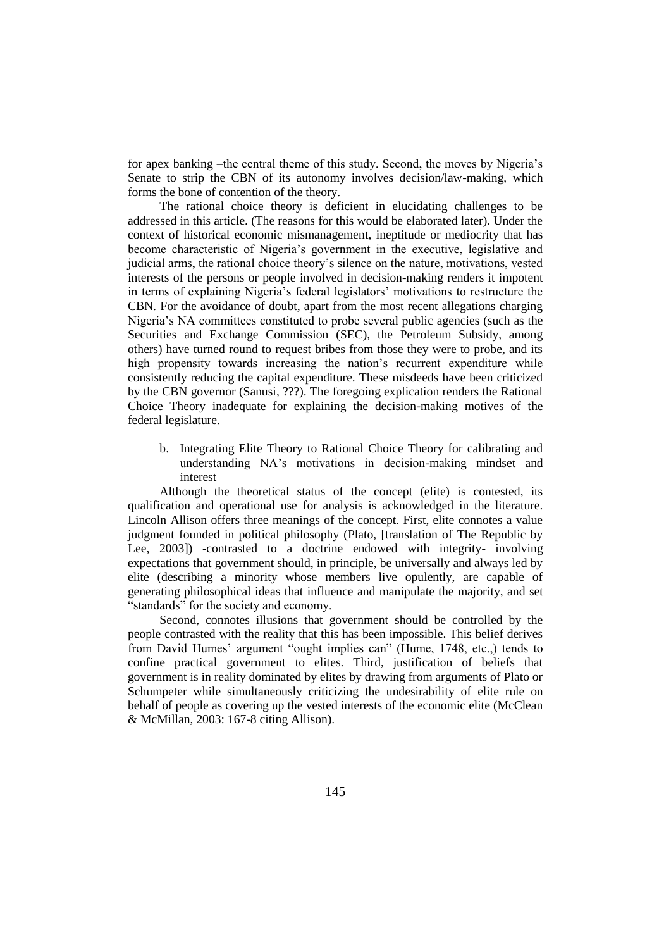for apex banking –the central theme of this study. Second, the moves by Nigeria"s Senate to strip the CBN of its autonomy involves decision/law-making, which forms the bone of contention of the theory.

The rational choice theory is deficient in elucidating challenges to be addressed in this article. (The reasons for this would be elaborated later). Under the context of historical economic mismanagement, ineptitude or mediocrity that has become characteristic of Nigeria"s government in the executive, legislative and judicial arms, the rational choice theory"s silence on the nature, motivations, vested interests of the persons or people involved in decision-making renders it impotent in terms of explaining Nigeria"s federal legislators" motivations to restructure the CBN. For the avoidance of doubt, apart from the most recent allegations charging Nigeria's NA committees constituted to probe several public agencies (such as the Securities and Exchange Commission (SEC), the Petroleum Subsidy, among others) have turned round to request bribes from those they were to probe, and its high propensity towards increasing the nation's recurrent expenditure while consistently reducing the capital expenditure. These misdeeds have been criticized by the CBN governor (Sanusi, ???). The foregoing explication renders the Rational Choice Theory inadequate for explaining the decision-making motives of the federal legislature.

b. Integrating Elite Theory to Rational Choice Theory for calibrating and understanding NA"s motivations in decision-making mindset and interest

Although the theoretical status of the concept (elite) is contested, its qualification and operational use for analysis is acknowledged in the literature. Lincoln Allison offers three meanings of the concept. First, elite connotes a value judgment founded in political philosophy (Plato, [translation of The Republic by Lee, 2003]) -contrasted to a doctrine endowed with integrity- involving expectations that government should, in principle, be universally and always led by elite (describing a minority whose members live opulently, are capable of generating philosophical ideas that influence and manipulate the majority, and set "standards" for the society and economy.

Second, connotes illusions that government should be controlled by the people contrasted with the reality that this has been impossible. This belief derives from David Humes' argument "ought implies can" (Hume, 1748, etc.,) tends to confine practical government to elites. Third, justification of beliefs that government is in reality dominated by elites by drawing from arguments of Plato or Schumpeter while simultaneously criticizing the undesirability of elite rule on behalf of people as covering up the vested interests of the economic elite (McClean & McMillan, 2003: 167-8 citing Allison).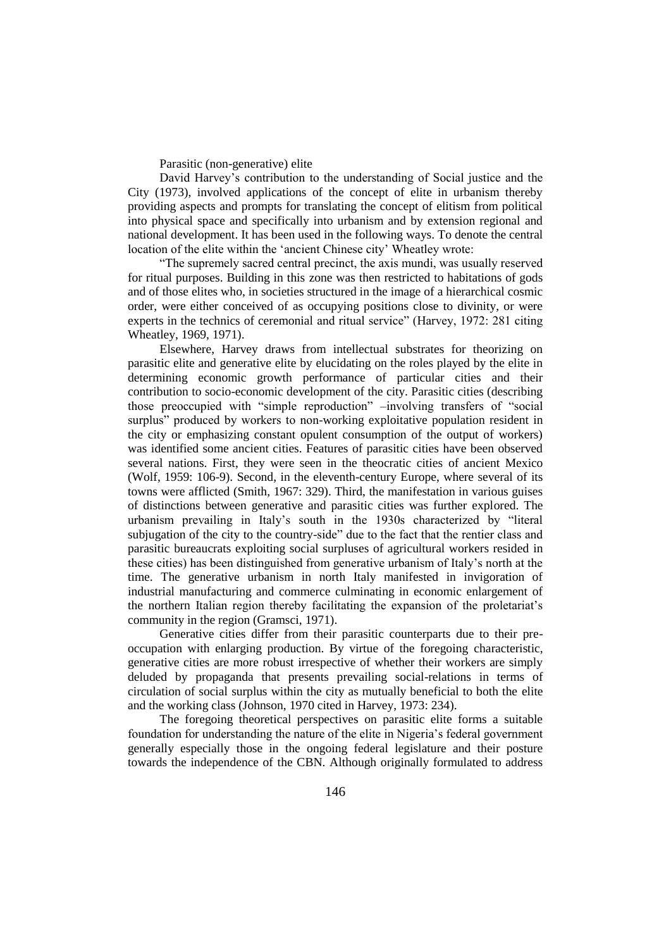Parasitic (non-generative) elite

David Harvey"s contribution to the understanding of Social justice and the City (1973), involved applications of the concept of elite in urbanism thereby providing aspects and prompts for translating the concept of elitism from political into physical space and specifically into urbanism and by extension regional and national development. It has been used in the following ways. To denote the central location of the elite within the "ancient Chinese city" Wheatley wrote:

"The supremely sacred central precinct, the axis mundi, was usually reserved for ritual purposes. Building in this zone was then restricted to habitations of gods and of those elites who, in societies structured in the image of a hierarchical cosmic order, were either conceived of as occupying positions close to divinity, or were experts in the technics of ceremonial and ritual service" (Harvey, 1972: 281 citing Wheatley, 1969, 1971).

Elsewhere, Harvey draws from intellectual substrates for theorizing on parasitic elite and generative elite by elucidating on the roles played by the elite in determining economic growth performance of particular cities and their contribution to socio-economic development of the city. Parasitic cities (describing those preoccupied with "simple reproduction" –involving transfers of "social surplus" produced by workers to non-working exploitative population resident in the city or emphasizing constant opulent consumption of the output of workers) was identified some ancient cities. Features of parasitic cities have been observed several nations. First, they were seen in the theocratic cities of ancient Mexico (Wolf, 1959: 106-9). Second, in the eleventh-century Europe, where several of its towns were afflicted (Smith, 1967: 329). Third, the manifestation in various guises of distinctions between generative and parasitic cities was further explored. The urbanism prevailing in Italy"s south in the 1930s characterized by "literal subjugation of the city to the country-side" due to the fact that the rentier class and parasitic bureaucrats exploiting social surpluses of agricultural workers resided in these cities) has been distinguished from generative urbanism of Italy"s north at the time. The generative urbanism in north Italy manifested in invigoration of industrial manufacturing and commerce culminating in economic enlargement of the northern Italian region thereby facilitating the expansion of the proletariat"s community in the region (Gramsci, 1971).

Generative cities differ from their parasitic counterparts due to their preoccupation with enlarging production. By virtue of the foregoing characteristic, generative cities are more robust irrespective of whether their workers are simply deluded by propaganda that presents prevailing social-relations in terms of circulation of social surplus within the city as mutually beneficial to both the elite and the working class (Johnson, 1970 cited in Harvey, 1973: 234).

The foregoing theoretical perspectives on parasitic elite forms a suitable foundation for understanding the nature of the elite in Nigeria"s federal government generally especially those in the ongoing federal legislature and their posture towards the independence of the CBN. Although originally formulated to address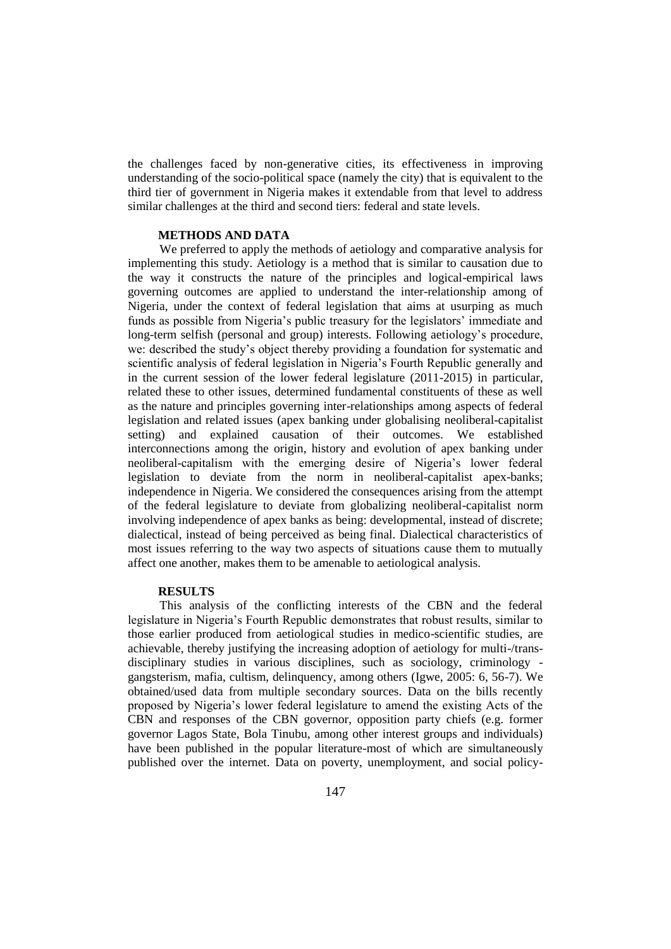the challenges faced by non-generative cities, its effectiveness in improving understanding of the socio-political space (namely the city) that is equivalent to the third tier of government in Nigeria makes it extendable from that level to address similar challenges at the third and second tiers: federal and state levels.

### **METHODS AND DATA**

We preferred to apply the methods of aetiology and comparative analysis for implementing this study. Aetiology is a method that is similar to causation due to the way it constructs the nature of the principles and logical-empirical laws governing outcomes are applied to understand the inter-relationship among of Nigeria, under the context of federal legislation that aims at usurping as much funds as possible from Nigeria's public treasury for the legislators' immediate and long-term selfish (personal and group) interests. Following aetiology"s procedure, we: described the study"s object thereby providing a foundation for systematic and scientific analysis of federal legislation in Nigeria"s Fourth Republic generally and in the current session of the lower federal legislature (2011-2015) in particular, related these to other issues, determined fundamental constituents of these as well as the nature and principles governing inter-relationships among aspects of federal legislation and related issues (apex banking under globalising neoliberal-capitalist setting) and explained causation of their outcomes. We established interconnections among the origin, history and evolution of apex banking under neoliberal-capitalism with the emerging desire of Nigeria"s lower federal legislation to deviate from the norm in neoliberal-capitalist apex-banks; independence in Nigeria. We considered the consequences arising from the attempt of the federal legislature to deviate from globalizing neoliberal-capitalist norm involving independence of apex banks as being: developmental, instead of discrete; dialectical, instead of being perceived as being final. Dialectical characteristics of most issues referring to the way two aspects of situations cause them to mutually affect one another, makes them to be amenable to aetiological analysis.

### **RESULTS**

This analysis of the conflicting interests of the CBN and the federal legislature in Nigeria"s Fourth Republic demonstrates that robust results, similar to those earlier produced from aetiological studies in medico-scientific studies, are achievable, thereby justifying the increasing adoption of aetiology for multi-/transdisciplinary studies in various disciplines, such as sociology, criminology gangsterism, mafia, cultism, delinquency, among others (Igwe, 2005: 6, 56-7). We obtained/used data from multiple secondary sources. Data on the bills recently proposed by Nigeria"s lower federal legislature to amend the existing Acts of the CBN and responses of the CBN governor, opposition party chiefs (e.g. former governor Lagos State, Bola Tinubu, among other interest groups and individuals) have been published in the popular literature-most of which are simultaneously published over the internet. Data on poverty, unemployment, and social policy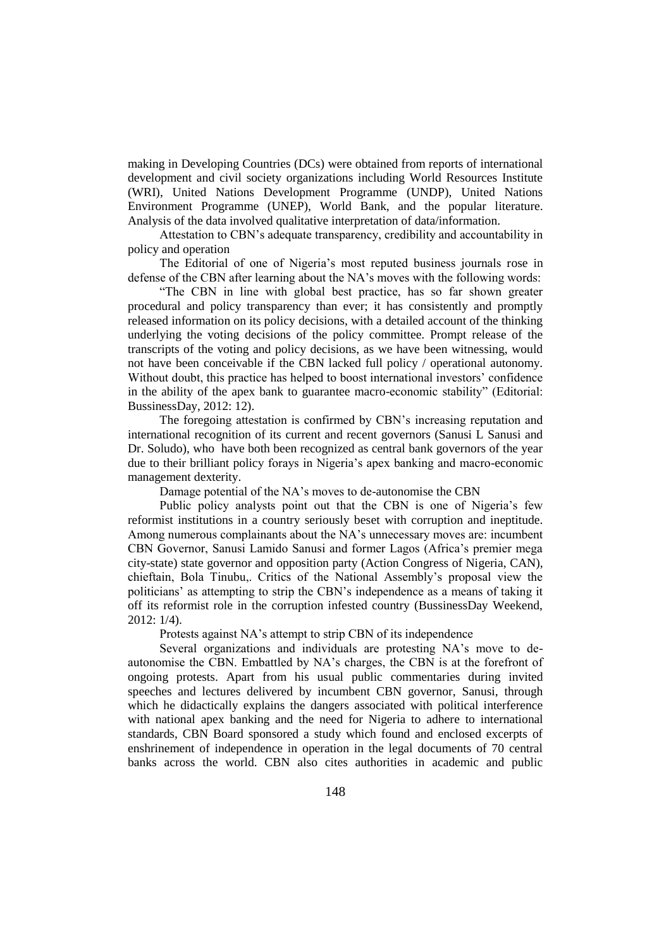making in Developing Countries (DCs) were obtained from reports of international development and civil society organizations including World Resources Institute (WRI), United Nations Development Programme (UNDP), United Nations Environment Programme (UNEP), World Bank, and the popular literature. Analysis of the data involved qualitative interpretation of data/information.

Attestation to CBN"s adequate transparency, credibility and accountability in policy and operation

The Editorial of one of Nigeria's most reputed business journals rose in defense of the CBN after learning about the NA"s moves with the following words:

"The CBN in line with global best practice, has so far shown greater procedural and policy transparency than ever; it has consistently and promptly released information on its policy decisions, with a detailed account of the thinking underlying the voting decisions of the policy committee. Prompt release of the transcripts of the voting and policy decisions, as we have been witnessing, would not have been conceivable if the CBN lacked full policy / operational autonomy. Without doubt, this practice has helped to boost international investors' confidence in the ability of the apex bank to guarantee macro-economic stability" (Editorial: BussinessDay, 2012: 12).

The foregoing attestation is confirmed by CBN"s increasing reputation and international recognition of its current and recent governors (Sanusi L Sanusi and Dr. Soludo), who have both been recognized as central bank governors of the year due to their brilliant policy forays in Nigeria"s apex banking and macro-economic management dexterity.

Damage potential of the NA"s moves to de-autonomise the CBN

Public policy analysts point out that the CBN is one of Nigeria's few reformist institutions in a country seriously beset with corruption and ineptitude. Among numerous complainants about the NA"s unnecessary moves are: incumbent CBN Governor, Sanusi Lamido Sanusi and former Lagos (Africa"s premier mega city-state) state governor and opposition party (Action Congress of Nigeria, CAN), chieftain, Bola Tinubu,. Critics of the National Assembly"s proposal view the politicians" as attempting to strip the CBN"s independence as a means of taking it off its reformist role in the corruption infested country (BussinessDay Weekend, 2012: 1/4).

Protests against NA"s attempt to strip CBN of its independence

Several organizations and individuals are protesting NA"s move to deautonomise the CBN. Embattled by NA"s charges, the CBN is at the forefront of ongoing protests. Apart from his usual public commentaries during invited speeches and lectures delivered by incumbent CBN governor, Sanusi, through which he didactically explains the dangers associated with political interference with national apex banking and the need for Nigeria to adhere to international standards, CBN Board sponsored a study which found and enclosed excerpts of enshrinement of independence in operation in the legal documents of 70 central banks across the world. CBN also cites authorities in academic and public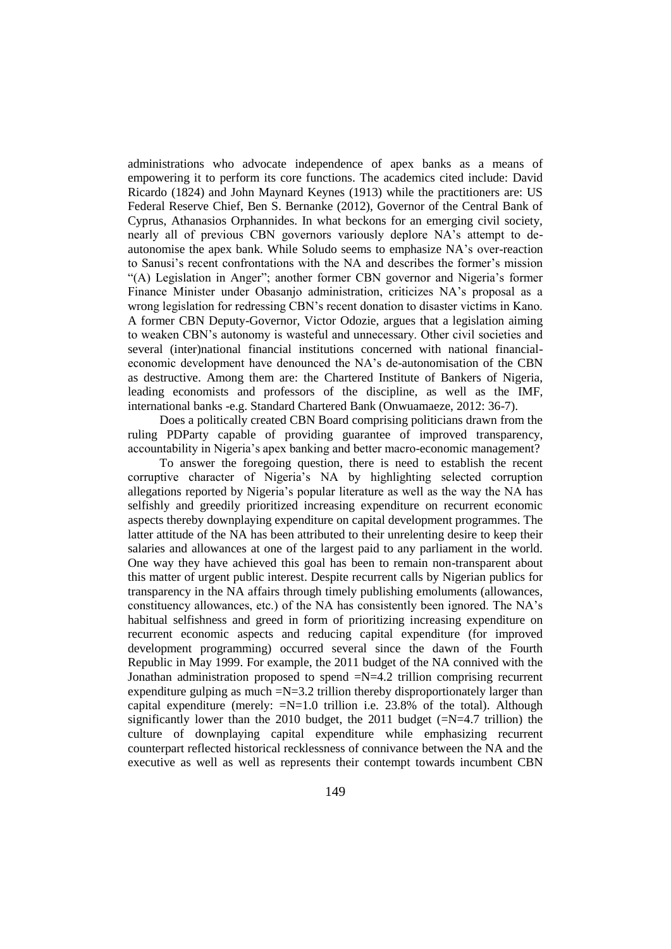administrations who advocate independence of apex banks as a means of empowering it to perform its core functions. The academics cited include: David Ricardo (1824) and John Maynard Keynes (1913) while the practitioners are: US Federal Reserve Chief, Ben S. Bernanke (2012), Governor of the Central Bank of Cyprus, Athanasios Orphannides. In what beckons for an emerging civil society, nearly all of previous CBN governors variously deplore NA"s attempt to deautonomise the apex bank. While Soludo seems to emphasize NA"s over-reaction to Sanusi's recent confrontations with the NA and describes the former's mission "(A) Legislation in Anger"; another former CBN governor and Nigeria's former Finance Minister under Obasanjo administration, criticizes NA"s proposal as a wrong legislation for redressing CBN"s recent donation to disaster victims in Kano. A former CBN Deputy-Governor, Victor Odozie, argues that a legislation aiming to weaken CBN"s autonomy is wasteful and unnecessary. Other civil societies and several (inter)national financial institutions concerned with national financialeconomic development have denounced the NA"s de-autonomisation of the CBN as destructive. Among them are: the Chartered Institute of Bankers of Nigeria, leading economists and professors of the discipline, as well as the IMF, international banks -e.g. Standard Chartered Bank (Onwuamaeze, 2012: 36-7).

Does a politically created CBN Board comprising politicians drawn from the ruling PDParty capable of providing guarantee of improved transparency, accountability in Nigeria's apex banking and better macro-economic management?

To answer the foregoing question, there is need to establish the recent corruptive character of Nigeria"s NA by highlighting selected corruption allegations reported by Nigeria"s popular literature as well as the way the NA has selfishly and greedily prioritized increasing expenditure on recurrent economic aspects thereby downplaying expenditure on capital development programmes. The latter attitude of the NA has been attributed to their unrelenting desire to keep their salaries and allowances at one of the largest paid to any parliament in the world. One way they have achieved this goal has been to remain non-transparent about this matter of urgent public interest. Despite recurrent calls by Nigerian publics for transparency in the NA affairs through timely publishing emoluments (allowances, constituency allowances, etc.) of the NA has consistently been ignored. The NA"s habitual selfishness and greed in form of prioritizing increasing expenditure on recurrent economic aspects and reducing capital expenditure (for improved development programming) occurred several since the dawn of the Fourth Republic in May 1999. For example, the 2011 budget of the NA connived with the Jonathan administration proposed to spend  $=N=4.2$  trillion comprising recurrent expenditure gulping as much  $=N=3.2$  trillion thereby disproportionately larger than capital expenditure (merely:  $=N=1.0$  trillion i.e. 23.8% of the total). Although significantly lower than the 2010 budget, the 2011 budget  $(=N=4.7 \text{ trillion})$  the culture of downplaying capital expenditure while emphasizing recurrent counterpart reflected historical recklessness of connivance between the NA and the executive as well as well as represents their contempt towards incumbent CBN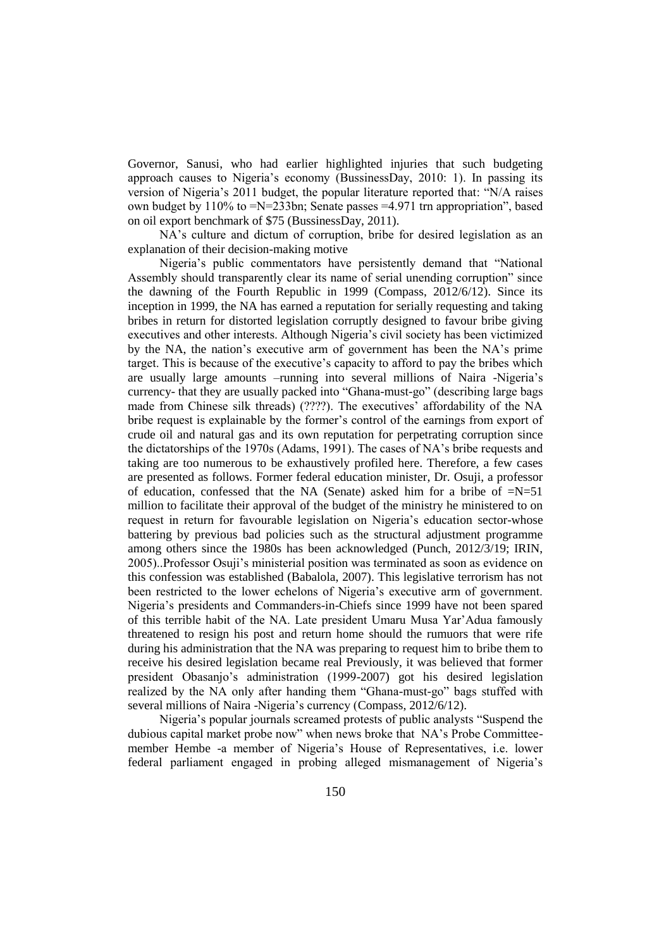Governor, Sanusi, who had earlier highlighted injuries that such budgeting approach causes to Nigeria's economy (BussinessDay, 2010: 1). In passing its version of Nigeria"s 2011 budget, the popular literature reported that: "N/A raises own budget by 110% to =N=233bn; Senate passes =4.971 trn appropriation", based on oil export benchmark of \$75 (BussinessDay, 2011).

NA"s culture and dictum of corruption, bribe for desired legislation as an explanation of their decision-making motive

Nigeria"s public commentators have persistently demand that "National Assembly should transparently clear its name of serial unending corruption" since the dawning of the Fourth Republic in 1999 (Compass, 2012/6/12). Since its inception in 1999, the NA has earned a reputation for serially requesting and taking bribes in return for distorted legislation corruptly designed to favour bribe giving executives and other interests. Although Nigeria"s civil society has been victimized by the NA, the nation"s executive arm of government has been the NA"s prime target. This is because of the executive's capacity to afford to pay the bribes which are usually large amounts –running into several millions of Naira -Nigeria"s currency- that they are usually packed into "Ghana-must-go" (describing large bags made from Chinese silk threads) (????). The executives' affordability of the NA bribe request is explainable by the former"s control of the earnings from export of crude oil and natural gas and its own reputation for perpetrating corruption since the dictatorships of the 1970s (Adams, 1991). The cases of NA"s bribe requests and taking are too numerous to be exhaustively profiled here. Therefore, a few cases are presented as follows. Former federal education minister, Dr. Osuji, a professor of education, confessed that the NA (Senate) asked him for a bribe of  $=N=51$ million to facilitate their approval of the budget of the ministry he ministered to on request in return for favourable legislation on Nigeria's education sector-whose battering by previous bad policies such as the structural adjustment programme among others since the 1980s has been acknowledged (Punch, 2012/3/19; IRIN, 2005)..Professor Osuji"s ministerial position was terminated as soon as evidence on this confession was established (Babalola, 2007). This legislative terrorism has not been restricted to the lower echelons of Nigeria"s executive arm of government. Nigeria's presidents and Commanders-in-Chiefs since 1999 have not been spared of this terrible habit of the NA. Late president Umaru Musa Yar"Adua famously threatened to resign his post and return home should the rumuors that were rife during his administration that the NA was preparing to request him to bribe them to receive his desired legislation became real Previously, it was believed that former president Obasanjo"s administration (1999-2007) got his desired legislation realized by the NA only after handing them "Ghana-must-go" bags stuffed with several millions of Naira -Nigeria's currency (Compass, 2012/6/12).

Nigeria"s popular journals screamed protests of public analysts "Suspend the dubious capital market probe now" when news broke that NA"s Probe Committeemember Hembe -a member of Nigeria"s House of Representatives, i.e. lower federal parliament engaged in probing alleged mismanagement of Nigeria"s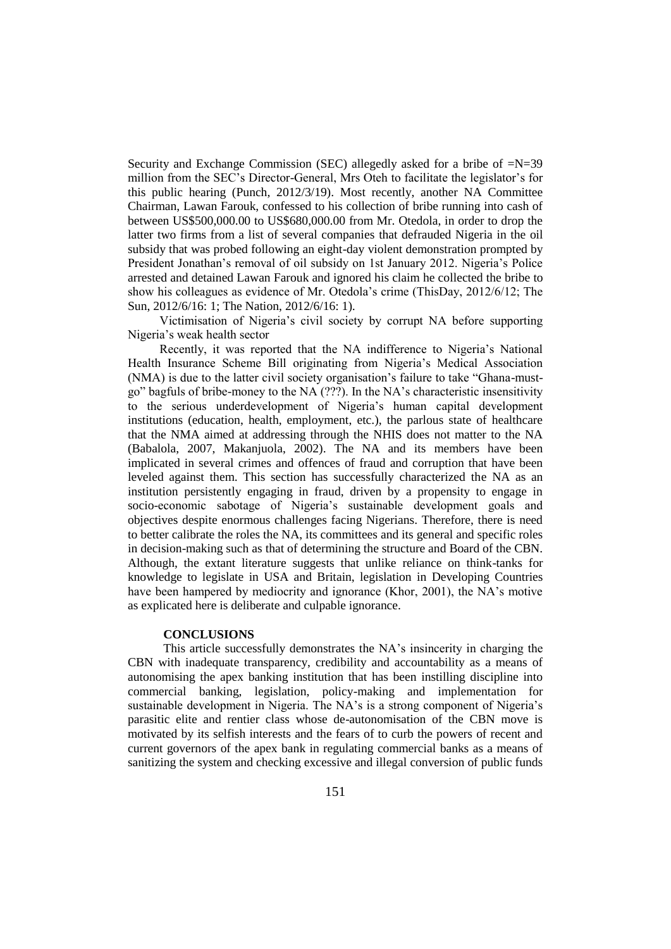Security and Exchange Commission (SEC) allegedly asked for a bribe of =N=39 million from the SEC's Director-General, Mrs Oteh to facilitate the legislator's for this public hearing (Punch, 2012/3/19). Most recently, another NA Committee Chairman, Lawan Farouk, confessed to his collection of bribe running into cash of between US\$500,000.00 to US\$680,000.00 from Mr. Otedola, in order to drop the latter two firms from a list of several companies that defrauded Nigeria in the oil subsidy that was probed following an eight-day violent demonstration prompted by President Jonathan"s removal of oil subsidy on 1st January 2012. Nigeria"s Police arrested and detained Lawan Farouk and ignored his claim he collected the bribe to show his colleagues as evidence of Mr. Otedola"s crime (ThisDay, 2012/6/12; The Sun, 2012/6/16: 1; The Nation, 2012/6/16: 1).

Victimisation of Nigeria"s civil society by corrupt NA before supporting Nigeria"s weak health sector

Recently, it was reported that the NA indifference to Nigeria"s National Health Insurance Scheme Bill originating from Nigeria's Medical Association (NMA) is due to the latter civil society organisation"s failure to take "Ghana-mustgo" bagfuls of bribe-money to the NA (???). In the NA"s characteristic insensitivity to the serious underdevelopment of Nigeria's human capital development institutions (education, health, employment, etc.), the parlous state of healthcare that the NMA aimed at addressing through the NHIS does not matter to the NA (Babalola, 2007, Makanjuola, 2002). The NA and its members have been implicated in several crimes and offences of fraud and corruption that have been leveled against them. This section has successfully characterized the NA as an institution persistently engaging in fraud, driven by a propensity to engage in socio-economic sabotage of Nigeria's sustainable development goals and objectives despite enormous challenges facing Nigerians. Therefore, there is need to better calibrate the roles the NA, its committees and its general and specific roles in decision-making such as that of determining the structure and Board of the CBN. Although, the extant literature suggests that unlike reliance on think-tanks for knowledge to legislate in USA and Britain, legislation in Developing Countries have been hampered by mediocrity and ignorance (Khor, 2001), the NA's motive as explicated here is deliberate and culpable ignorance.

### **CONCLUSIONS**

This article successfully demonstrates the NA"s insincerity in charging the CBN with inadequate transparency, credibility and accountability as a means of autonomising the apex banking institution that has been instilling discipline into commercial banking, legislation, policy-making and implementation for sustainable development in Nigeria. The NA's is a strong component of Nigeria's parasitic elite and rentier class whose de-autonomisation of the CBN move is motivated by its selfish interests and the fears of to curb the powers of recent and current governors of the apex bank in regulating commercial banks as a means of sanitizing the system and checking excessive and illegal conversion of public funds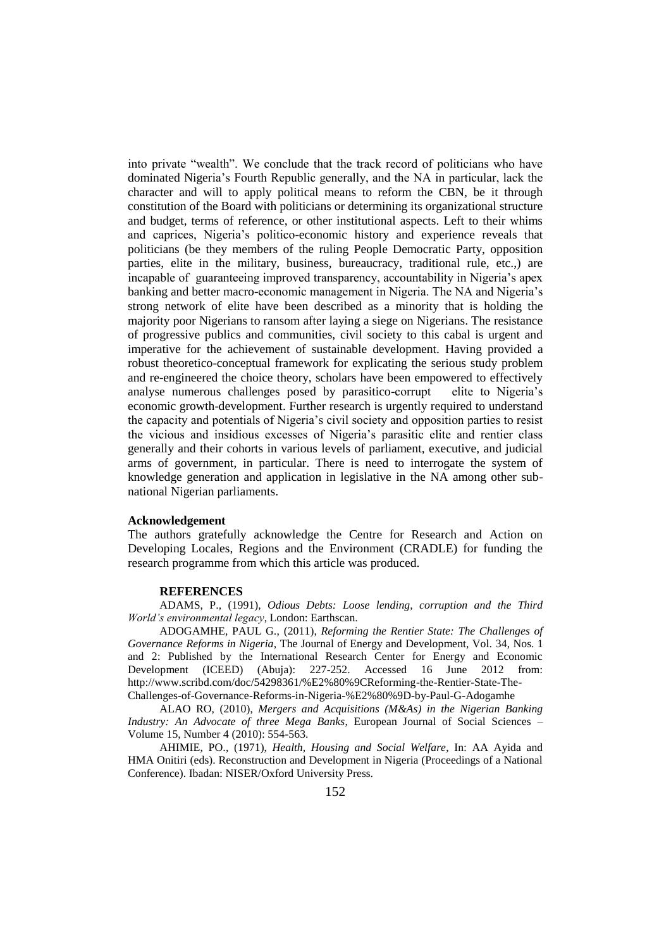into private "wealth". We conclude that the track record of politicians who have dominated Nigeria"s Fourth Republic generally, and the NA in particular, lack the character and will to apply political means to reform the CBN, be it through constitution of the Board with politicians or determining its organizational structure and budget, terms of reference, or other institutional aspects. Left to their whims and caprices, Nigeria"s politico-economic history and experience reveals that politicians (be they members of the ruling People Democratic Party, opposition parties, elite in the military, business, bureaucracy, traditional rule, etc.,) are incapable of guaranteeing improved transparency, accountability in Nigeria's apex banking and better macro-economic management in Nigeria. The NA and Nigeria"s strong network of elite have been described as a minority that is holding the majority poor Nigerians to ransom after laying a siege on Nigerians. The resistance of progressive publics and communities, civil society to this cabal is urgent and imperative for the achievement of sustainable development. Having provided a robust theoretico-conceptual framework for explicating the serious study problem and re-engineered the choice theory, scholars have been empowered to effectively analyse numerous challenges posed by parasitico-corrupt elite to Nigeria"s economic growth-development. Further research is urgently required to understand the capacity and potentials of Nigeria"s civil society and opposition parties to resist the vicious and insidious excesses of Nigeria"s parasitic elite and rentier class generally and their cohorts in various levels of parliament, executive, and judicial arms of government, in particular. There is need to interrogate the system of knowledge generation and application in legislative in the NA among other subnational Nigerian parliaments.

#### **Acknowledgement**

The authors gratefully acknowledge the Centre for Research and Action on Developing Locales, Regions and the Environment (CRADLE) for funding the research programme from which this article was produced.

#### **REFERENCES**

ADAMS, P., (1991), *Odious Debts: Loose lending, corruption and the Third World's environmental legacy*, London: Earthscan.

ADOGAMHE, PAUL G., (2011), *Reforming the Rentier State: The Challenges of Governance Reforms in Nigeria*, The Journal of Energy and Development, Vol. 34, Nos. 1 and 2: Published by the International Research Center for Energy and Economic Development (ICEED) (Abuja): 227-252. Accessed 16 June 2012 from: http://www.scribd.com/doc/54298361/%E2%80%9CReforming-the-Rentier-State-The-Challenges-of-Governance-Reforms-in-Nigeria-%E2%80%9D-by-Paul-G-Adogamhe

ALAO RO, (2010), *Mergers and Acquisitions (M&As) in the Nigerian Banking Industry: An Advocate of three Mega Banks*, European Journal of Social Sciences – Volume 15, Number 4 (2010): 554-563.

AHIMIE, PO., (1971), *Health, Housing and Social Welfare*, In: AA Ayida and HMA Onitiri (eds). Reconstruction and Development in Nigeria (Proceedings of a National Conference). Ibadan: NISER/Oxford University Press.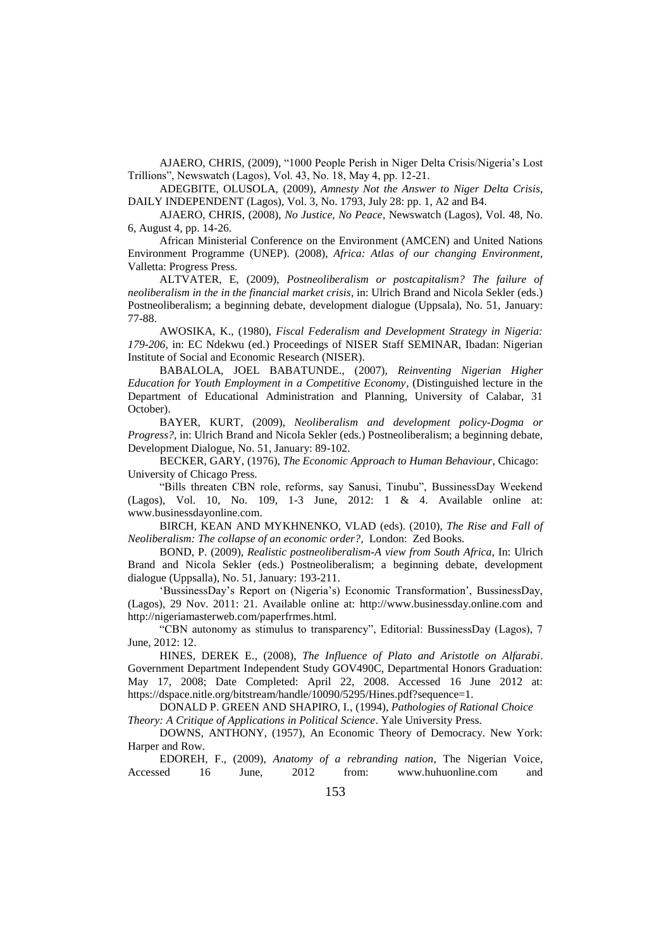AJAERO, CHRIS, (2009), "1000 People Perish in Niger Delta Crisis/Nigeria"s Lost Trillions", Newswatch (Lagos), Vol. 43, No. 18, May 4, pp. 12-21.

ADEGBITE, OLUSOLA, (2009), *Amnesty Not the Answer to Niger Delta Crisis*, DAILY INDEPENDENT (Lagos), Vol. 3, No. 1793, July 28: pp. 1, A2 and B4.

AJAERO, CHRIS, (2008), *No Justice, No Peace*, Newswatch (Lagos), Vol. 48, No. 6, August 4, pp. 14-26.

African Ministerial Conference on the Environment (AMCEN) and United Nations Environment Programme (UNEP). (2008), *Africa: Atlas of our changing Environment*, Valletta: Progress Press.

ALTVATER, E, (2009), *Postneoliberalism or postcapitalism? The failure of neoliberalism in the in the financial market crisis*, in: Ulrich Brand and Nicola Sekler (eds.) Postneoliberalism; a beginning debate, development dialogue (Uppsala), No. 51, January: 77-88.

AWOSIKA, K., (1980), *Fiscal Federalism and Development Strategy in Nigeria: 179-206,* in: EC Ndekwu (ed.) Proceedings of NISER Staff SEMINAR, Ibadan: Nigerian Institute of Social and Economic Research (NISER).

BABALOLA, JOEL BABATUNDE., (2007), *Reinventing Nigerian Higher Education for Youth Employment in a Competitive Economy*, (Distinguished lecture in the Department of Educational Administration and Planning, University of Calabar, 31 October).

BAYER, KURT, (2009), *Neoliberalism and development policy-Dogma or Progress?,* in: Ulrich Brand and Nicola Sekler (eds.) Postneoliberalism; a beginning debate, Development Dialogue, No. 51, January: 89-102.

BECKER, GARY, (1976), *The Economic Approach to Human Behaviour*, Chicago: University of Chicago Press.

"Bills threaten CBN role, reforms, say Sanusi, Tinubu", BussinessDay Weekend (Lagos), Vol. 10, No. 109, 1-3 June, 2012: 1 & 4. Available online at: www.businessdayonline.com.

BIRCH, KEAN AND MYKHNENKO, VLAD (eds). (2010), *The Rise and Fall of Neoliberalism: The collapse of an economic order?,* London: Zed Books.

BOND, P. (2009), *Realistic postneoliberalism-A view from South Africa*, In: Ulrich Brand and Nicola Sekler (eds.) Postneoliberalism; a beginning debate, development dialogue (Uppsalla), No. 51, January: 193-211.

'BussinessDay's Report on (Nigeria's) Economic Transformation', BussinessDay, (Lagos), 29 Nov. 2011: 21. Available online at: http://www.businessday.online.com and http://nigeriamasterweb.com/paperfrmes.html.

"CBN autonomy as stimulus to transparency", Editorial: BussinessDay (Lagos), 7 June, 2012: 12.

HINES, DEREK E., (2008), *The Influence of Plato and Aristotle on Alfarabi*. Government Department Independent Study GOV490C, Departmental Honors Graduation: May 17, 2008; Date Completed: April 22, 2008. Accessed 16 June 2012 at: https://dspace.nitle.org/bitstream/handle/10090/5295/Hines.pdf?sequence=1.

DONALD P. GREEN AND SHAPIRO, I., (1994), *Pathologies of Rational Choice Theory: A Critique of Applications in Political Science*. Yale University Press.

DOWNS, ANTHONY, (1957), An Economic Theory of Democracy. New York: Harper and Row.

EDOREH, F., (2009), *Anatomy of a rebranding nation*, The Nigerian Voice, Accessed 16 June, 2012 from: www.huhuonline.com and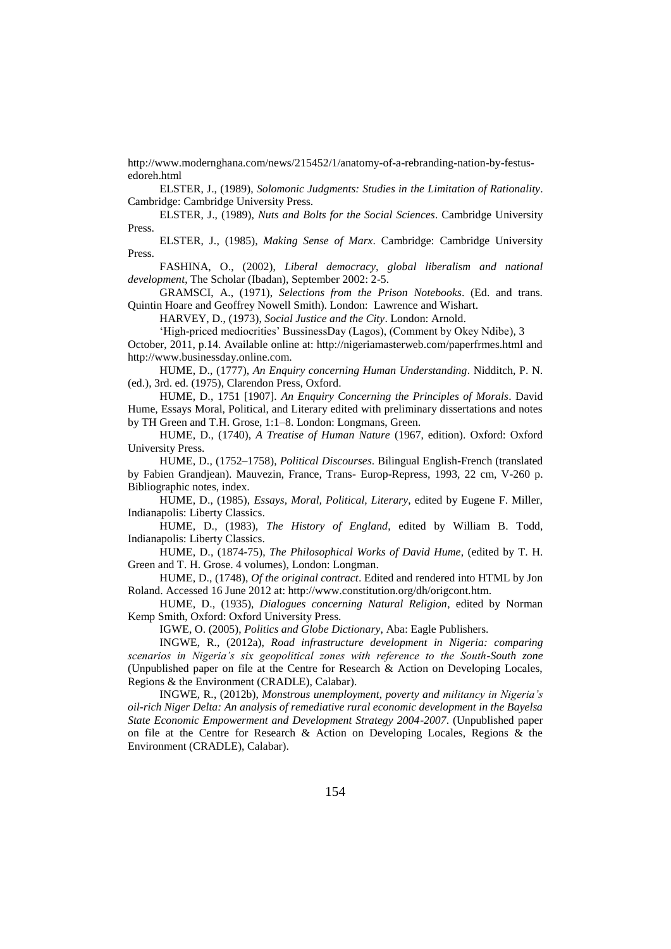http://www.modernghana.com/news/215452/1/anatomy-of-a-rebranding-nation-by-festusedoreh.html

ELSTER, J., (1989), *Solomonic Judgments: Studies in the Limitation of Rationality*. Cambridge: Cambridge University Press.

ELSTER, J., (1989), *Nuts and Bolts for the Social Sciences*. Cambridge University Press.

ELSTER, J., (1985), *Making Sense of Marx*. Cambridge: Cambridge University Press.

FASHINA, O., (2002), *Liberal democracy, global liberalism and national development*, The Scholar (Ibadan), September 2002: 2-5.

GRAMSCI, A., (1971), *Selections from the Prison Notebooks*. (Ed. and trans. Quintin Hoare and Geoffrey Nowell Smith). London: Lawrence and Wishart.

HARVEY, D., (1973), *Social Justice and the City*. London: Arnold.

"High-priced mediocrities" BussinessDay (Lagos), (Comment by Okey Ndibe), 3

October, 2011, p.14. Available online at: http://nigeriamasterweb.com/paperfrmes.html and http://www.businessday.online.com.

HUME, D., (1777), *An Enquiry concerning Human Understanding*. Nidditch, P. N. (ed.), 3rd. ed. (1975), Clarendon Press, Oxford.

HUME, D., 1751 [1907]. *An Enquiry Concerning the Principles of Morals*. David Hume, Essays Moral, Political, and Literary edited with preliminary dissertations and notes by TH Green and T.H. Grose, 1:1–8. London: Longmans, Green.

HUME, D., (1740), *A Treatise of Human Nature* (1967, edition). Oxford: Oxford University Press.

HUME, D., (1752–1758), *Political Discourses*. Bilingual English-French (translated by Fabien Grandjean). Mauvezin, France, Trans- Europ-Repress, 1993, 22 cm, V-260 p. Bibliographic notes, index.

HUME, D., (1985), *Essays, Moral, Political, Literary*, edited by Eugene F. Miller, Indianapolis: Liberty Classics.

HUME, D., (1983), *The History of England*, edited by William B. Todd, Indianapolis: Liberty Classics.

HUME, D., (1874-75), *The Philosophical Works of David Hume*, (edited by T. H. Green and T. H. Grose. 4 volumes), London: Longman.

HUME, D., (1748), *Of the original contract*. Edited and rendered into HTML by Jon Roland. Accessed 16 June 2012 at: http://www.constitution.org/dh/origcont.htm.

HUME, D., (1935), *Dialogues concerning Natural Religion*, edited by Norman Kemp Smith, Oxford: Oxford University Press.

IGWE, O. (2005), *Politics and Globe Dictionary*, Aba: Eagle Publishers.

INGWE, R., (2012a), *Road infrastructure development in Nigeria: comparing scenarios in Nigeria's six geopolitical zones with reference to the South-South zone* (Unpublished paper on file at the Centre for Research & Action on Developing Locales, Regions & the Environment (CRADLE), Calabar).

INGWE, R., (2012b), *Monstrous unemployment, poverty and militancy in Nigeria's oil-rich Niger Delta: An analysis of remediative rural economic development in the Bayelsa State Economic Empowerment and Development Strategy 2004-2007*. (Unpublished paper on file at the Centre for Research & Action on Developing Locales, Regions & the Environment (CRADLE), Calabar).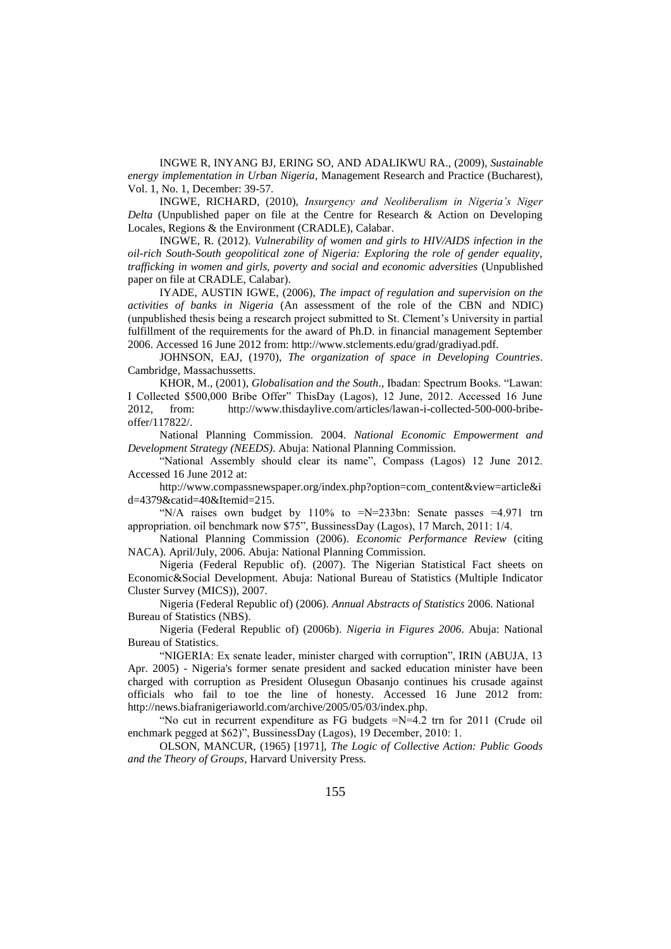INGWE R, INYANG BJ, ERING SO, AND ADALIKWU RA., (2009), *Sustainable energy implementation in Urban Nigeria*, Management Research and Practice (Bucharest), Vol. 1, No. 1, December: 39-57.

INGWE, RICHARD, (2010), *Insurgency and Neoliberalism in Nigeria's Niger Delta* (Unpublished paper on file at the Centre for Research & Action on Developing Locales, Regions & the Environment (CRADLE), Calabar.

INGWE, R. (2012). *Vulnerability of women and girls to HIV/AIDS infection in the oil-rich South-South geopolitical zone of Nigeria: Exploring the role of gender equality, trafficking in women and girls, poverty and social and economic adversities* (Unpublished paper on file at CRADLE, Calabar).

IYADE, AUSTIN IGWE, (2006), *The impact of regulation and supervision on the activities of banks in Nigeria* (An assessment of the role of the CBN and NDIC) (unpublished thesis being a research project submitted to St. Clement"s University in partial fulfillment of the requirements for the award of Ph.D. in financial management September 2006. Accessed 16 June 2012 from: http://www.stclements.edu/grad/gradiyad.pdf.

JOHNSON, EAJ, (1970), *The organization of space in Developing Countries*. Cambridge, Massachussetts.

KHOR, M., (2001), *Globalisation and the South*., Ibadan: Spectrum Books. "Lawan: I Collected \$500,000 Bribe Offer" ThisDay (Lagos), 12 June, 2012. Accessed 16 June 2012, from: http://www.thisdaylive.com/articles/lawan-i-collected-500-000-bribeoffer/117822/.

National Planning Commission. 2004. *National Economic Empowerment and Development Strategy (NEEDS)*. Abuja: National Planning Commission.

"National Assembly should clear its name", Compass (Lagos) 12 June 2012. Accessed 16 June 2012 at:

http://www.compassnewspaper.org/index.php?option=com\_content&view=article&i d=4379&catid=40&Itemid=215.

"N/A raises own budget by  $110\%$  to =N=233bn: Senate passes =4.971 trn appropriation. oil benchmark now \$75", BussinessDay (Lagos), 17 March, 2011: 1/4.

National Planning Commission (2006). *Economic Performance Review* (citing NACA). April/July, 2006. Abuja: National Planning Commission.

Nigeria (Federal Republic of). (2007). The Nigerian Statistical Fact sheets on Economic&Social Development. Abuja: National Bureau of Statistics (Multiple Indicator Cluster Survey (MICS)), 2007.

Nigeria (Federal Republic of) (2006). *Annual Abstracts of Statistics* 2006. National Bureau of Statistics (NBS).

Nigeria (Federal Republic of) (2006b). *Nigeria in Figures 2006*. Abuja: National Bureau of Statistics.

"NIGERIA: Ex senate leader, minister charged with corruption", IRIN (ABUJA, 13 Apr. 2005) - Nigeria's former senate president and sacked education minister have been charged with corruption as President Olusegun Obasanjo continues his crusade against officials who fail to toe the line of honesty. Accessed 16 June 2012 from: http://news.biafranigeriaworld.com/archive/2005/05/03/index.php.

"No cut in recurrent expenditure as FG budgets =N=4.2 trn for 2011 (Crude oil enchmark pegged at \$62)", BussinessDay (Lagos), 19 December, 2010: 1.

OLSON, MANCUR, (1965) [1971], *The Logic of Collective Action: Public Goods and the Theory of Groups*, Harvard University Press.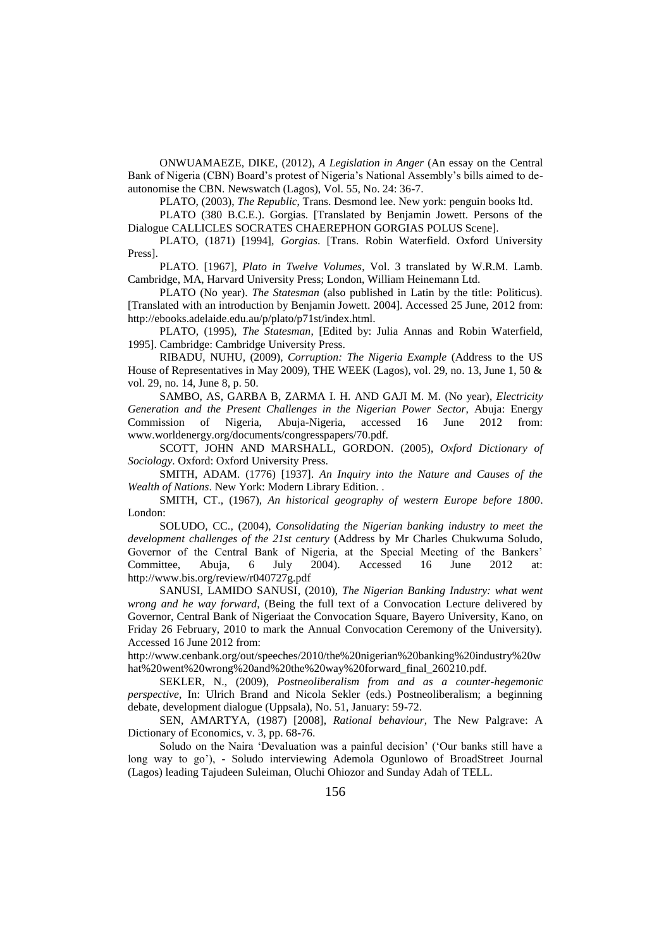ONWUAMAEZE, DIKE, (2012), *A Legislation in Anger* (An essay on the Central Bank of Nigeria (CBN) Board"s protest of Nigeria"s National Assembly"s bills aimed to deautonomise the CBN. Newswatch (Lagos), Vol. 55, No. 24: 36-7.

PLATO, (2003), *The Republic*, Trans. Desmond lee. New york: penguin books ltd.

PLATO (380 B.C.E.). Gorgias. [Translated by Benjamin Jowett. Persons of the Dialogue CALLICLES SOCRATES CHAEREPHON GORGIAS POLUS Scene].

PLATO, (1871) [1994], *Gorgias*. [Trans. Robin Waterfield. Oxford University Press].

PLATO. [1967], *Plato in Twelve Volumes*, Vol. 3 translated by W.R.M. Lamb. Cambridge, MA, Harvard University Press; London, William Heinemann Ltd.

PLATO (No year). *The Statesman* (also published in Latin by the title: Politicus). [Translated with an introduction by Benjamin Jowett. 2004]. Accessed 25 June, 2012 from: http://ebooks.adelaide.edu.au/p/plato/p71st/index.html.

PLATO, (1995), *The Statesman*, [Edited by: Julia Annas and Robin Waterfield, 1995]. Cambridge: Cambridge University Press.

RIBADU, NUHU, (2009), *Corruption: The Nigeria Example* (Address to the US House of Representatives in May 2009), THE WEEK (Lagos), vol. 29, no. 13, June 1, 50 & vol. 29, no. 14, June 8, p. 50.

SAMBO, AS, GARBA B, ZARMA I. H. AND GAJI M. M. (No year), *Electricity Generation and the Present Challenges in the Nigerian Power Sector*, Abuja: Energy Commission of Nigeria, Abuja-Nigeria, accessed 16 June 2012 from: www.worldenergy.org/documents/congresspapers/70.pdf.

SCOTT, JOHN AND MARSHALL, GORDON. (2005), *Oxford Dictionary of Sociology*. Oxford: Oxford University Press.

SMITH, ADAM. (1776) [1937]. *An Inquiry into the Nature and Causes of the Wealth of Nations*. New York: Modern Library Edition. .

SMITH, CT., (1967), *An historical geography of western Europe before 1800*. London:

SOLUDO, CC., (2004), *Consolidating the Nigerian banking industry to meet the development challenges of the 21st century* (Address by Mr Charles Chukwuma Soludo, Governor of the Central Bank of Nigeria, at the Special Meeting of the Bankers' Committee, Abuja, 6 July 2004). Accessed 16 June 2012 at: http://www.bis.org/review/r040727g.pdf

SANUSI, LAMIDO SANUSI, (2010), *The Nigerian Banking Industry: what went wrong and he way forward*, (Being the full text of a Convocation Lecture delivered by Governor, Central Bank of Nigeriaat the Convocation Square, Bayero University, Kano, on Friday 26 February, 2010 to mark the Annual Convocation Ceremony of the University). Accessed 16 June 2012 from:

http://www.cenbank.org/out/speeches/2010/the%20nigerian%20banking%20industry%20w hat%20went%20wrong%20and%20the%20way%20forward\_final\_260210.pdf.

SEKLER, N., (2009), *Postneoliberalism from and as a counter-hegemonic perspective*, In: Ulrich Brand and Nicola Sekler (eds.) Postneoliberalism; a beginning debate, development dialogue (Uppsala), No. 51, January: 59-72.

SEN, AMARTYA, (1987) [2008], *Rational behaviour*, The New Palgrave: A Dictionary of Economics, v. 3, pp. 68-76.

Soludo on the Naira "Devaluation was a painful decision" ("Our banks still have a long way to go"), - Soludo interviewing Ademola Ogunlowo of BroadStreet Journal (Lagos) leading Tajudeen Suleiman, Oluchi Ohiozor and Sunday Adah of TELL.